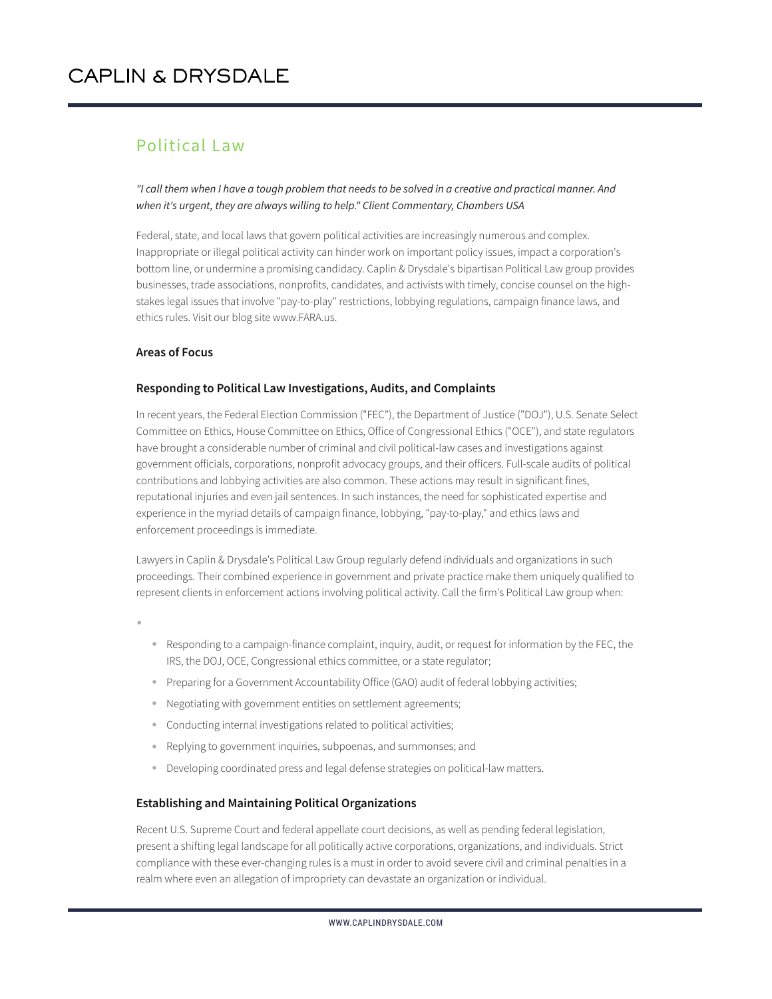#### Political Law

*"I call them when I have a tough problem that needs to be solved in a creative and practical manner. And when it's urgent, they are always willing to help." Client Commentary, Chambers USA*

Federal, state, and local laws that govern political activities are increasingly numerous and complex. Inappropriate or illegal political activity can hinder work on important policy issues, impact a corporation's bottom line, or undermine a promising candidacy. Caplin & Drysdale's bipartisan Political Law group provides businesses, trade associations, nonprofits, candidates, and activists with timely, concise counsel on the highstakes legal issues that involve "pay-to-play" restrictions, lobbying regulations, campaign finance laws, and ethics rules. Visit our blog site www.FARA.us.

#### **Areas of Focus**

#### **Responding to Political Law Investigations, Audits, and Complaints**

In recent years, the Federal Election Commission ("FEC"), the Department of Justice ("DOJ"), U.S. Senate Select Committee on Ethics, House Committee on Ethics, Office of Congressional Ethics ("OCE"), and state regulators have brought a considerable number of criminal and civil political-law cases and investigations against government officials, corporations, nonprofit advocacy groups, and their officers. Full-scale audits of political contributions and lobbying activities are also common. These actions may result in significant fines, reputational injuries and even jail sentences. In such instances, the need for sophisticated expertise and experience in the myriad details of campaign finance, lobbying, "pay-to-play," and ethics laws and enforcement proceedings is immediate.

Lawyers in Caplin & Drysdale's Political Law Group regularly defend individuals and organizations in such proceedings. Their combined experience in government and private practice make them uniquely qualified to represent clients in enforcement actions involving political activity. Call the firm's Political Law group when:

●

- Responding to a campaign-finance complaint, inquiry, audit, or request for information by the FEC, the IRS, the DOJ, OCE, Congressional ethics committee, or a state regulator;
- Preparing for a Government Accountability Office (GAO) audit of federal lobbying activities;
- Negotiating with government entities on settlement agreements;
- Conducting internal investigations related to political activities;
- Replying to government inquiries, subpoenas, and summonses; and
- Developing coordinated press and legal defense strategies on political-law matters.

#### **Establishing and Maintaining Political Organizations**

Recent U.S. Supreme Court and federal appellate court decisions, as well as pending federal legislation, present a shifting legal landscape for all politically active corporations, organizations, and individuals. Strict compliance with these ever-changing rules is a must in order to avoid severe civil and criminal penalties in a realm where even an allegation of impropriety can devastate an organization or individual.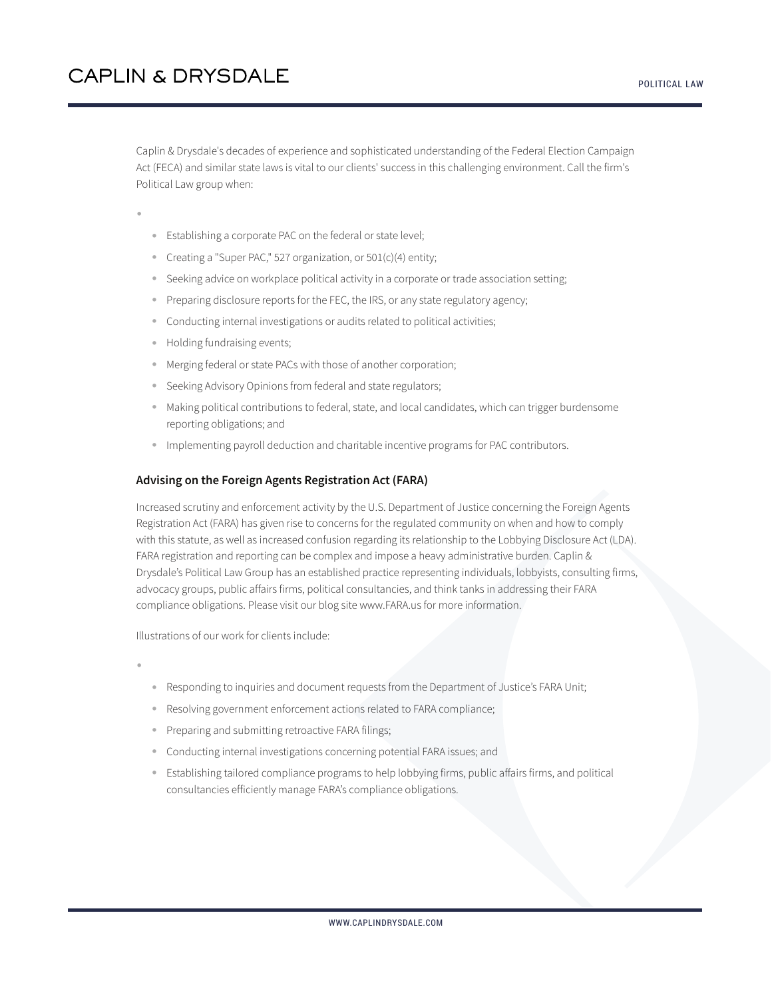Caplin & Drysdale's decades of experience and sophisticated understanding of the Federal Election Campaign Act (FECA) and similar state laws is vital to our clients' success in this challenging environment. Call the firm's Political Law group when:

●

- Establishing a corporate PAC on the federal or state level;
- Creating a "Super PAC," 527 organization, or 501(c)(4) entity;
- Seeking advice on workplace political activity in a corporate or trade association setting;
- Preparing disclosure reports for the FEC, the IRS, or any state regulatory agency;
- Conducting internal investigations or audits related to political activities;
- Holding fundraising events;
- Merging federal or state PACs with those of another corporation;
- Seeking Advisory Opinions from federal and state regulators;
- Making political contributions to federal, state, and local candidates, which can trigger burdensome reporting obligations; and
- Implementing payroll deduction and charitable incentive programs for PAC contributors.

#### **Advising on the Foreign Agents Registration Act (FARA)**

Increased scrutiny and enforcement activity by the U.S. Department of Justice concerning the Foreign Agents Registration Act (FARA) has given rise to concerns for the regulated community on when and how to comply with this statute, as well as increased confusion regarding its relationship to the Lobbying Disclosure Act (LDA). FARA registration and reporting can be complex and impose a heavy administrative burden. Caplin & Drysdale's Political Law Group has an established practice representing individuals, lobbyists, consulting firms, advocacy groups, public affairs firms, political consultancies, and think tanks in addressing their FARA compliance obligations. Please visit our blog site www.FARA.us for more information.

Illustrations of our work for clients include:

●

- Responding to inquiries and document requests from the Department of Justice's FARA Unit;
- Resolving government enforcement actions related to FARA compliance;
- Preparing and submitting retroactive FARA filings;
- Conducting internal investigations concerning potential FARA issues; and
- Establishing tailored compliance programs to help lobbying firms, public affairs firms, and political consultancies efficiently manage FARA's compliance obligations.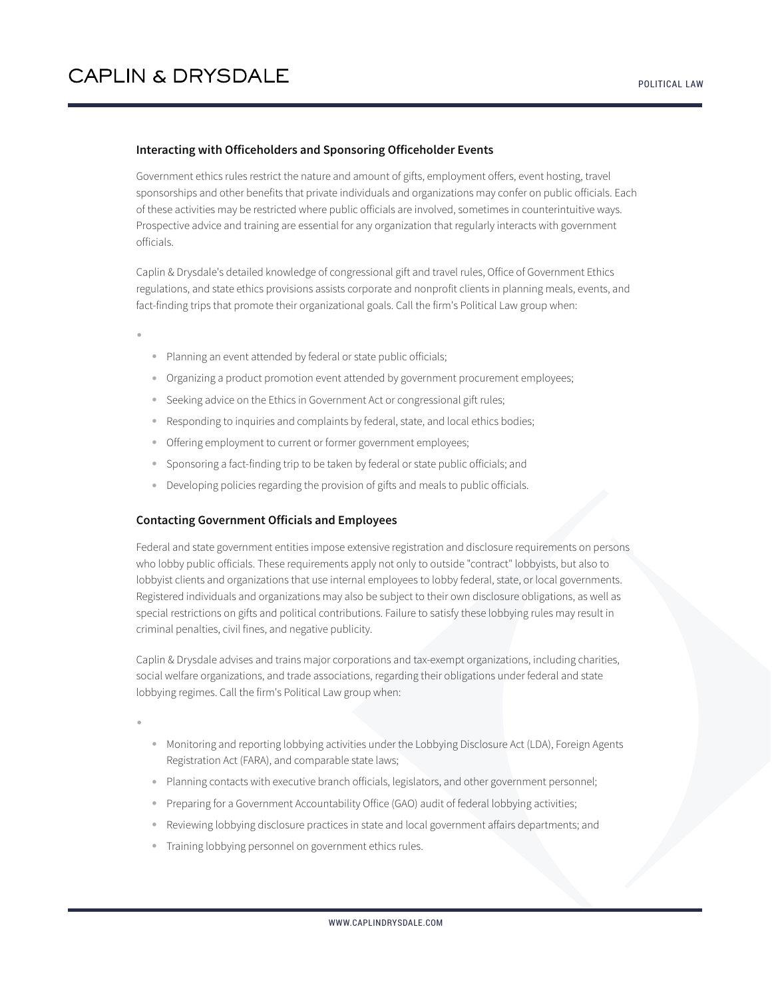#### **Interacting with Officeholders and Sponsoring Officeholder Events**

Government ethics rules restrict the nature and amount of gifts, employment offers, event hosting, travel sponsorships and other benefits that private individuals and organizations may confer on public officials. Each of these activities may be restricted where public officials are involved, sometimes in counterintuitive ways. Prospective advice and training are essential for any organization that regularly interacts with government officials.

Caplin & Drysdale's detailed knowledge of congressional gift and travel rules, Office of Government Ethics regulations, and state ethics provisions assists corporate and nonprofit clients in planning meals, events, and fact-finding trips that promote their organizational goals. Call the firm's Political Law group when:

●

- Planning an event attended by federal or state public officials;
- Organizing a product promotion event attended by government procurement employees;
- Seeking advice on the Ethics in Government Act or congressional gift rules;
- Responding to inquiries and complaints by federal, state, and local ethics bodies;
- Offering employment to current or former government employees;
- Sponsoring a fact-finding trip to be taken by federal or state public officials; and
- Developing policies regarding the provision of gifts and meals to public officials.

#### **Contacting Government Officials and Employees**

Federal and state government entities impose extensive registration and disclosure requirements on persons who lobby public officials. These requirements apply not only to outside "contract" lobbyists, but also to lobbyist clients and organizations that use internal employees to lobby federal, state, or local governments. Registered individuals and organizations may also be subject to their own disclosure obligations, as well as special restrictions on gifts and political contributions. Failure to satisfy these lobbying rules may result in criminal penalties, civil fines, and negative publicity.

Caplin & Drysdale advises and trains major corporations and tax-exempt organizations, including charities, social welfare organizations, and trade associations, regarding their obligations under federal and state lobbying regimes. Call the firm's Political Law group when:

●

- Monitoring and reporting lobbying activities under the Lobbying Disclosure Act (LDA), Foreign Agents Registration Act (FARA), and comparable state laws;
- Planning contacts with executive branch officials, legislators, and other government personnel;
- Preparing for a Government Accountability Office (GAO) audit of federal lobbying activities;
- Reviewing lobbying disclosure practices in state and local government affairs departments; and
- Training lobbying personnel on government ethics rules.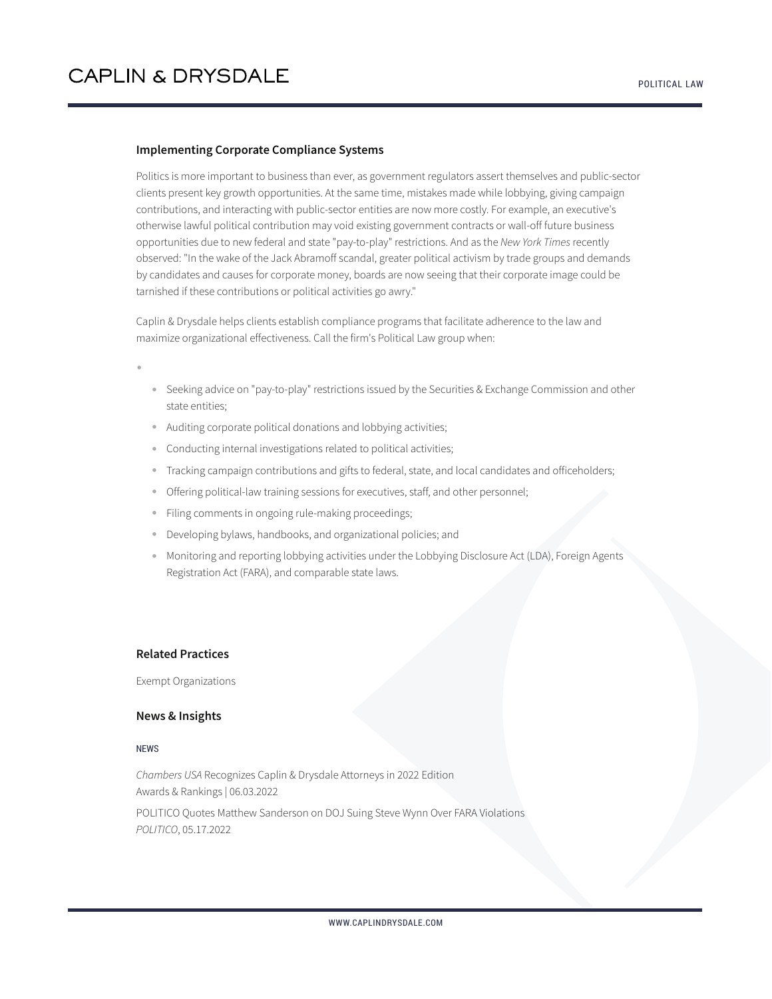#### **Implementing Corporate Compliance Systems**

Politics is more important to business than ever, as government regulators assert themselves and public-sector clients present key growth opportunities. At the same time, mistakes made while lobbying, giving campaign contributions, and interacting with public-sector entities are now more costly. For example, an executive's otherwise lawful political contribution may void existing government contracts or wall-off future business opportunities due to new federal and state "pay-to-play" restrictions. And as the *New York Times* recently observed: "In the wake of the Jack Abramoff scandal, greater political activism by trade groups and demands by candidates and causes for corporate money, boards are now seeing that their corporate image could be tarnished if these contributions or political activities go awry."

Caplin & Drysdale helps clients establish compliance programs that facilitate adherence to the law and maximize organizational effectiveness. Call the firm's Political Law group when:

●

- Seeking advice on "pay-to-play" restrictions issued by the Securities & Exchange Commission and other state entities;
- Auditing corporate political donations and lobbying activities;
- Conducting internal investigations related to political activities;
- Tracking campaign contributions and gifts to federal, state, and local candidates and officeholders;
- Offering political-law training sessions for executives, staff, and other personnel;
- Filing comments in ongoing rule-making proceedings;
- Developing bylaws, handbooks, and organizational policies; and
- Monitoring and reporting lobbying activities under the Lobbying Disclosure Act (LDA), Foreign Agents Registration Act (FARA), and comparable state laws.

#### **Related Practices**

Exempt Organizations

#### **News & Insights**

#### NEWS

*Chambers USA* Recognizes Caplin & Drysdale Attorneys in 2022 Edition Awards & Rankings | 06.03.2022

POLITICO Quotes Matthew Sanderson on DOJ Suing Steve Wynn Over FARA Violations *POLITICO*, 05.17.2022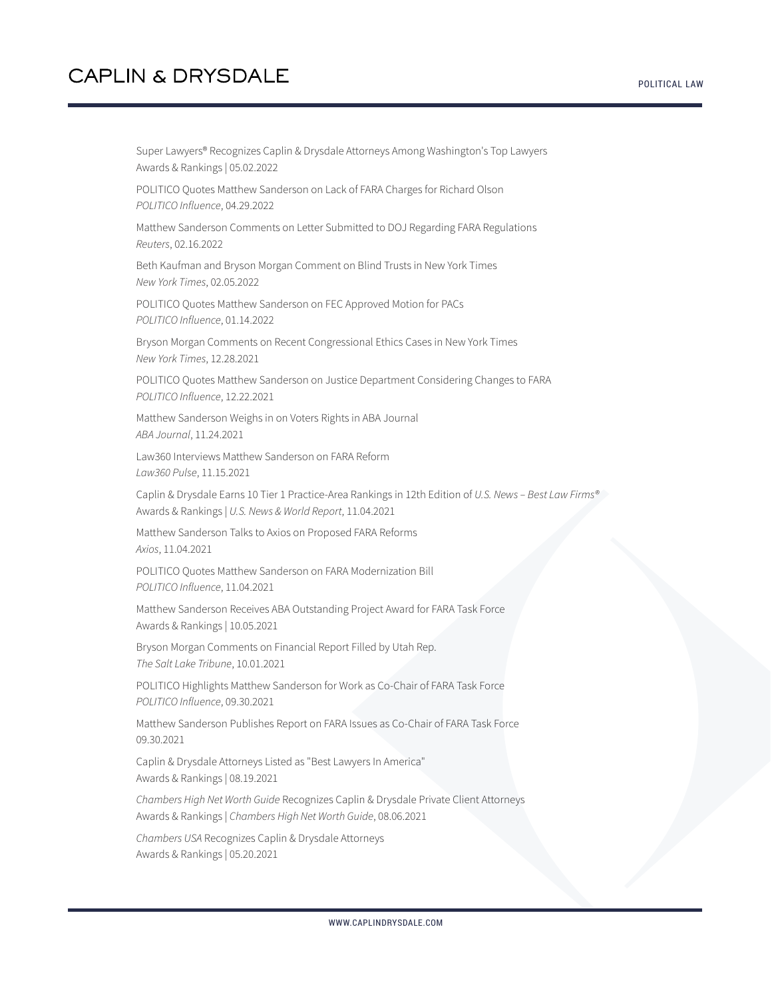Super Lawyers® Recognizes Caplin & Drysdale Attorneys Among Washington's Top Lawyers Awards & Rankings | 05.02.2022

POLITICO Quotes Matthew Sanderson on Lack of FARA Charges for Richard Olson *POLITICO Influence*, 04.29.2022

Matthew Sanderson Comments on Letter Submitted to DOJ Regarding FARA Regulations *Reuters*, 02.16.2022

Beth Kaufman and Bryson Morgan Comment on Blind Trusts in New York Times *New York Times*, 02.05.2022

POLITICO Quotes Matthew Sanderson on FEC Approved Motion for PACs *POLITICO Influence*, 01.14.2022

Bryson Morgan Comments on Recent Congressional Ethics Cases in New York Times *New York Times*, 12.28.2021

POLITICO Quotes Matthew Sanderson on Justice Department Considering Changes to FARA *POLITICO Influence*, 12.22.2021

Matthew Sanderson Weighs in on Voters Rights in ABA Journal *ABA Journal*, 11.24.2021

Law360 Interviews Matthew Sanderson on FARA Reform *Law360 Pulse*, 11.15.2021

Caplin & Drysdale Earns 10 Tier 1 Practice-Area Rankings in 12th Edition of *U.S. News – Best Law Firms®* Awards & Rankings | *U.S. News & World Report*, 11.04.2021

Matthew Sanderson Talks to Axios on Proposed FARA Reforms *Axios*, 11.04.2021

POLITICO Quotes Matthew Sanderson on FARA Modernization Bill *POLITICO Influence*, 11.04.2021

Matthew Sanderson Receives ABA Outstanding Project Award for FARA Task Force Awards & Rankings | 10.05.2021

Bryson Morgan Comments on Financial Report Filled by Utah Rep. *The Salt Lake Tribune*, 10.01.2021

POLITICO Highlights Matthew Sanderson for Work as Co-Chair of FARA Task Force *POLITICO Influence*, 09.30.2021

Matthew Sanderson Publishes Report on FARA Issues as Co-Chair of FARA Task Force 09.30.2021

Caplin & Drysdale Attorneys Listed as "Best Lawyers In America" Awards & Rankings | 08.19.2021

*Chambers High Net Worth Guide* Recognizes Caplin & Drysdale Private Client Attorneys Awards & Rankings | *Chambers High Net Worth Guide*, 08.06.2021

*Chambers USA* Recognizes Caplin & Drysdale Attorneys Awards & Rankings | 05.20.2021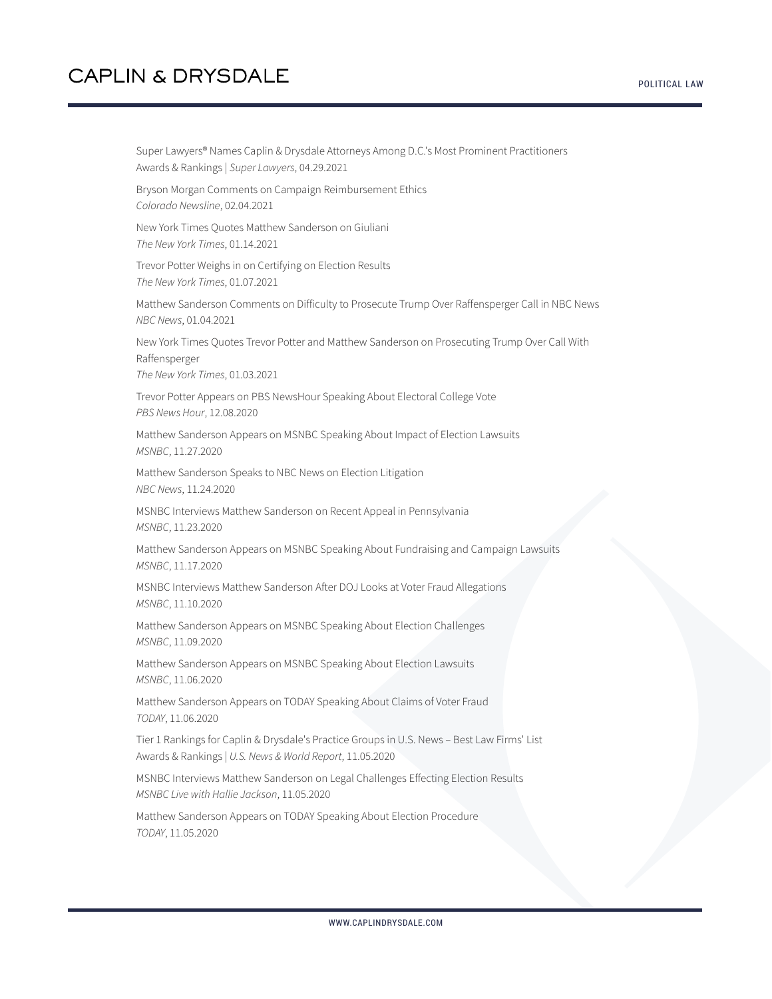Super Lawyers® Names Caplin & Drysdale Attorneys Among D.C.'s Most Prominent Practitioners Awards & Rankings | *Super Lawyers*, 04.29.2021 Bryson Morgan Comments on Campaign Reimbursement Ethics *Colorado Newsline*, 02.04.2021 New York Times Quotes Matthew Sanderson on Giuliani *The New York Times*, 01.14.2021 Trevor Potter Weighs in on Certifying on Election Results *The New York Times*, 01.07.2021 Matthew Sanderson Comments on Difficulty to Prosecute Trump Over Raffensperger Call in NBC News *NBC News*, 01.04.2021 New York Times Quotes Trevor Potter and Matthew Sanderson on Prosecuting Trump Over Call With Raffensperger *The New York Times*, 01.03.2021 Trevor Potter Appears on PBS NewsHour Speaking About Electoral College Vote *PBS News Hour*, 12.08.2020 Matthew Sanderson Appears on MSNBC Speaking About Impact of Election Lawsuits *MSNBC*, 11.27.2020 Matthew Sanderson Speaks to NBC News on Election Litigation *NBC News*, 11.24.2020 MSNBC Interviews Matthew Sanderson on Recent Appeal in Pennsylvania *MSNBC*, 11.23.2020 Matthew Sanderson Appears on MSNBC Speaking About Fundraising and Campaign Lawsuits *MSNBC*, 11.17.2020 MSNBC Interviews Matthew Sanderson After DOJ Looks at Voter Fraud Allegations *MSNBC*, 11.10.2020 Matthew Sanderson Appears on MSNBC Speaking About Election Challenges *MSNBC*, 11.09.2020 Matthew Sanderson Appears on MSNBC Speaking About Election Lawsuits *MSNBC*, 11.06.2020 Matthew Sanderson Appears on TODAY Speaking About Claims of Voter Fraud *TODAY*, 11.06.2020 Tier 1 Rankings for Caplin & Drysdale's Practice Groups in U.S. News – Best Law Firms' List Awards & Rankings | *U.S. News & World Report*, 11.05.2020 MSNBC Interviews Matthew Sanderson on Legal Challenges Effecting Election Results *MSNBC Live with Hallie Jackson*, 11.05.2020 Matthew Sanderson Appears on TODAY Speaking About Election Procedure *TODAY*, 11.05.2020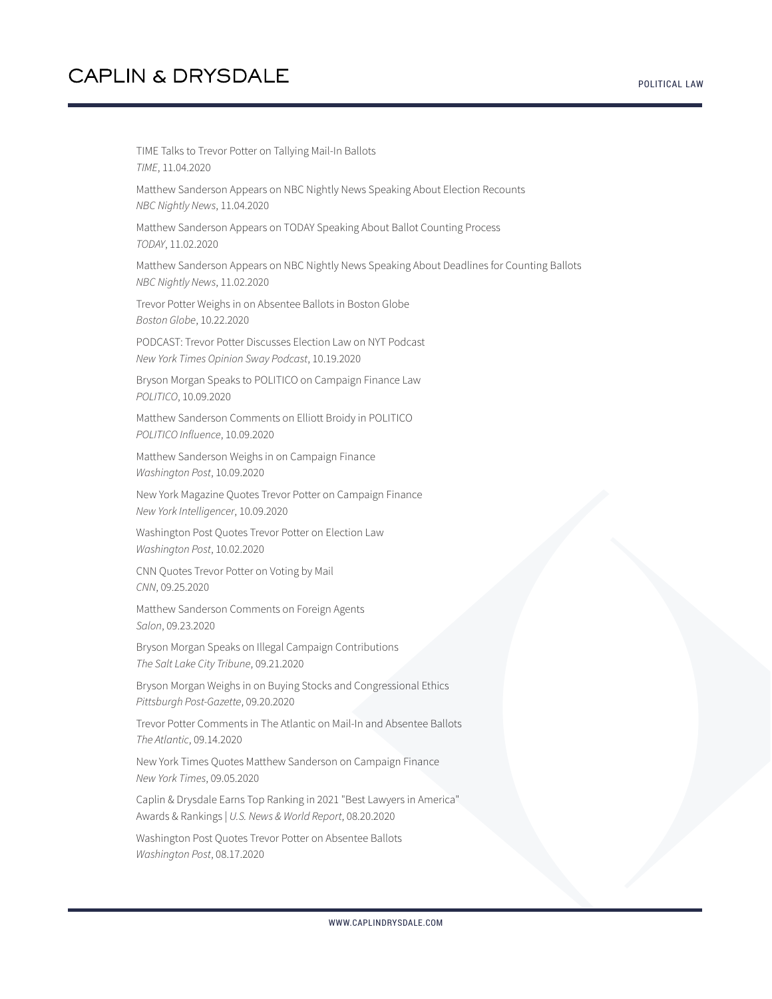TIME Talks to Trevor Potter on Tallying Mail-In Ballots *TIME*, 11.04.2020 Matthew Sanderson Appears on NBC Nightly News Speaking About Election Recounts *NBC Nightly News*, 11.04.2020 Matthew Sanderson Appears on TODAY Speaking About Ballot Counting Process *TODAY*, 11.02.2020 Matthew Sanderson Appears on NBC Nightly News Speaking About Deadlines for Counting Ballots *NBC Nightly News*, 11.02.2020 Trevor Potter Weighs in on Absentee Ballots in Boston Globe *Boston Globe*, 10.22.2020 PODCAST: Trevor Potter Discusses Election Law on NYT Podcast *New York Times Opinion Sway Podcast*, 10.19.2020 Bryson Morgan Speaks to POLITICO on Campaign Finance Law *POLITICO*, 10.09.2020 Matthew Sanderson Comments on Elliott Broidy in POLITICO *POLITICO Influence*, 10.09.2020 Matthew Sanderson Weighs in on Campaign Finance *Washington Post*, 10.09.2020 New York Magazine Quotes Trevor Potter on Campaign Finance *New York Intelligencer*, 10.09.2020 Washington Post Quotes Trevor Potter on Election Law *Washington Post*, 10.02.2020 CNN Quotes Trevor Potter on Voting by Mail *CNN*, 09.25.2020 Matthew Sanderson Comments on Foreign Agents *Salon*, 09.23.2020 Bryson Morgan Speaks on Illegal Campaign Contributions *The Salt Lake City Tribune*, 09.21.2020 Bryson Morgan Weighs in on Buying Stocks and Congressional Ethics *Pittsburgh Post-Gazette*, 09.20.2020 Trevor Potter Comments in The Atlantic on Mail-In and Absentee Ballots *The Atlantic*, 09.14.2020 New York Times Quotes Matthew Sanderson on Campaign Finance *New York Times*, 09.05.2020 Caplin & Drysdale Earns Top Ranking in 2021 "Best Lawyers in America" Awards & Rankings | *U.S. News & World Report*, 08.20.2020 Washington Post Quotes Trevor Potter on Absentee Ballots *Washington Post*, 08.17.2020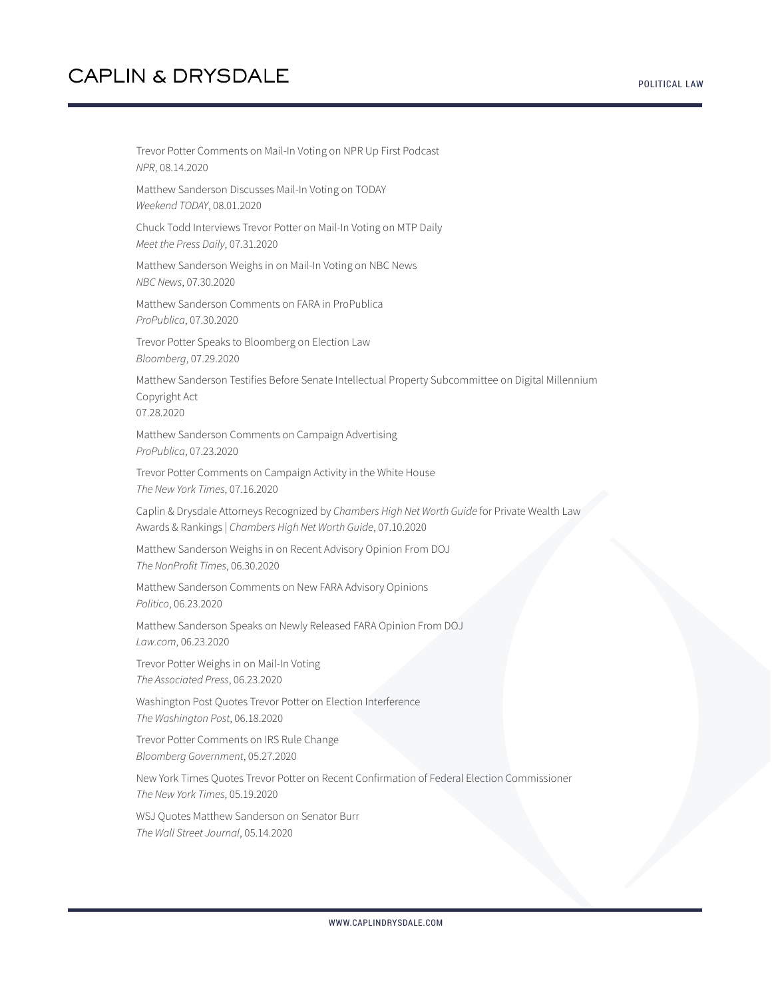Trevor Potter Comments on Mail-In Voting on NPR Up First Podcast *NPR*, 08.14.2020 Matthew Sanderson Discusses Mail-In Voting on TODAY *Weekend TODAY*, 08.01.2020 Chuck Todd Interviews Trevor Potter on Mail-In Voting on MTP Daily *Meet the Press Daily*, 07.31.2020 Matthew Sanderson Weighs in on Mail-In Voting on NBC News *NBC News*, 07.30.2020 Matthew Sanderson Comments on FARA in ProPublica *ProPublica*, 07.30.2020 Trevor Potter Speaks to Bloomberg on Election Law *Bloomberg*, 07.29.2020 Matthew Sanderson Testifies Before Senate Intellectual Property Subcommittee on Digital Millennium Copyright Act 07.28.2020 Matthew Sanderson Comments on Campaign Advertising *ProPublica*, 07.23.2020 Trevor Potter Comments on Campaign Activity in the White House *The New York Times*, 07.16.2020 Caplin & Drysdale Attorneys Recognized by *Chambers High Net Worth Guide* for Private Wealth Law Awards & Rankings | *Chambers High Net Worth Guide*, 07.10.2020 Matthew Sanderson Weighs in on Recent Advisory Opinion From DOJ *The NonProfit Times*, 06.30.2020 Matthew Sanderson Comments on New FARA Advisory Opinions *Politico*, 06.23.2020 Matthew Sanderson Speaks on Newly Released FARA Opinion From DOJ *Law.com*, 06.23.2020 Trevor Potter Weighs in on Mail-In Voting *The Associated Press*, 06.23.2020 Washington Post Quotes Trevor Potter on Election Interference *The Washington Post*, 06.18.2020 Trevor Potter Comments on IRS Rule Change *Bloomberg Government*, 05.27.2020 New York Times Quotes Trevor Potter on Recent Confirmation of Federal Election Commissioner *The New York Times*, 05.19.2020 WSJ Quotes Matthew Sanderson on Senator Burr

*The Wall Street Journal*, 05.14.2020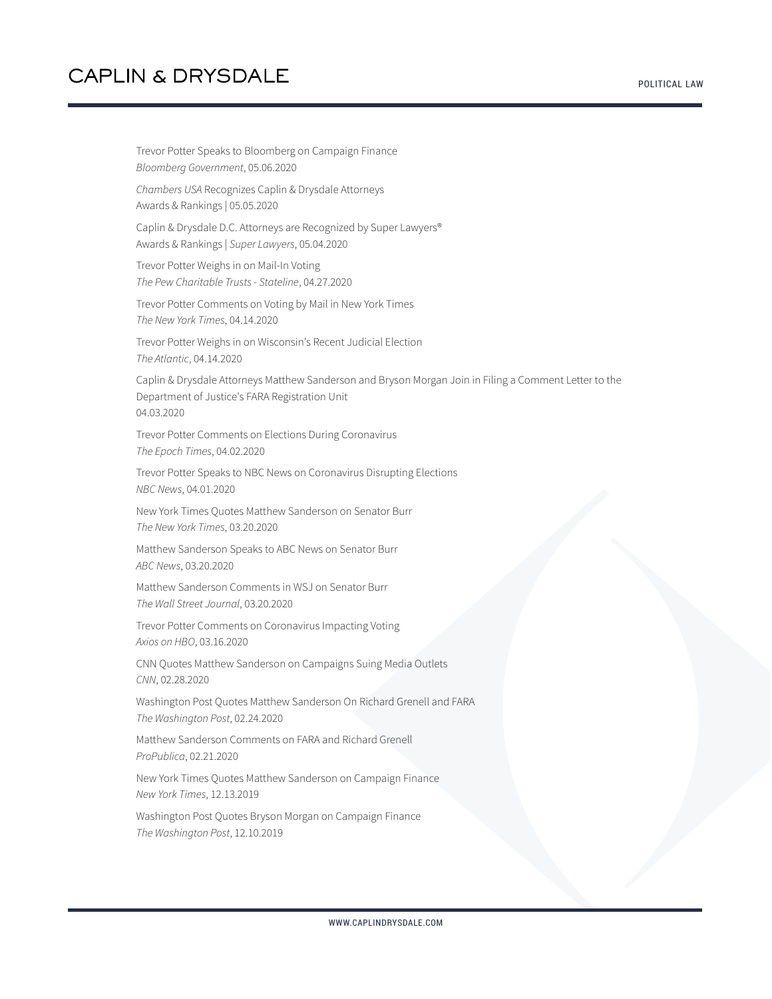Trevor Potter Speaks to Bloomberg on Campaign Finance *Bloomberg Government*, 05.06.2020 *Chambers USA* Recognizes Caplin & Drysdale Attorneys Awards & Rankings | 05.05.2020 Caplin & Drysdale D.C. Attorneys are Recognized by Super Lawyers® Awards & Rankings | *Super Lawyers*, 05.04.2020 Trevor Potter Weighs in on Mail-In Voting *The Pew Charitable Trusts - Stateline*, 04.27.2020 Trevor Potter Comments on Voting by Mail in New York Times *The New York Times*, 04.14.2020 Trevor Potter Weighs in on Wisconsin's Recent Judicial Election *The Atlantic*, 04.14.2020 Caplin & Drysdale Attorneys Matthew Sanderson and Bryson Morgan Join in Filing a Comment Letter to the Department of Justice's FARA Registration Unit 04.03.2020 Trevor Potter Comments on Elections During Coronavirus *The Epoch Times*, 04.02.2020 Trevor Potter Speaks to NBC News on Coronavirus Disrupting Elections *NBC News*, 04.01.2020 New York Times Quotes Matthew Sanderson on Senator Burr *The New York Times*, 03.20.2020 Matthew Sanderson Speaks to ABC News on Senator Burr *ABC News*, 03.20.2020 Matthew Sanderson Comments in WSJ on Senator Burr *The Wall Street Journal*, 03.20.2020 Trevor Potter Comments on Coronavirus Impacting Voting *Axios on HBO*, 03.16.2020 CNN Quotes Matthew Sanderson on Campaigns Suing Media Outlets *CNN*, 02.28.2020 Washington Post Quotes Matthew Sanderson On Richard Grenell and FARA *The Washington Post*, 02.24.2020 Matthew Sanderson Comments on FARA and Richard Grenell *ProPublica*, 02.21.2020 New York Times Quotes Matthew Sanderson on Campaign Finance

*New York Times*, 12.13.2019

Washington Post Quotes Bryson Morgan on Campaign Finance *The Washington Post*, 12.10.2019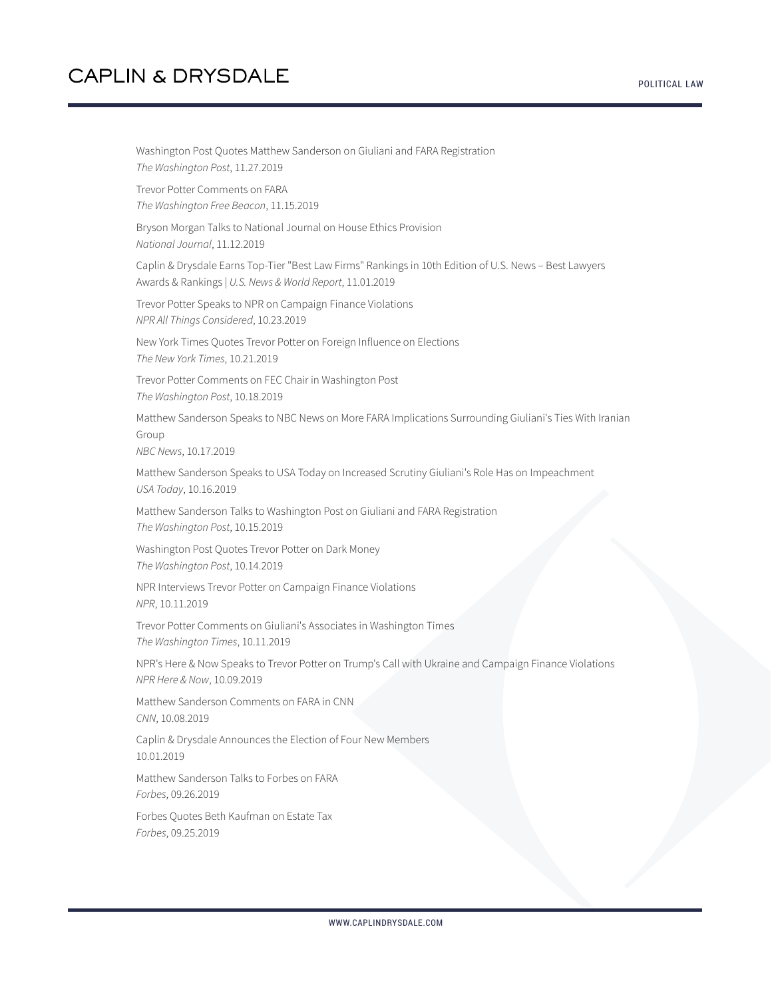Washington Post Quotes Matthew Sanderson on Giuliani and FARA Registration *The Washington Post*, 11.27.2019

Trevor Potter Comments on FARA *The Washington Free Beacon*, 11.15.2019

Bryson Morgan Talks to National Journal on House Ethics Provision *National Journal*, 11.12.2019

Caplin & Drysdale Earns Top-Tier "Best Law Firms" Rankings in 10th Edition of U.S. News – Best Lawyers Awards & Rankings | *U.S. News & World Report*, 11.01.2019

Trevor Potter Speaks to NPR on Campaign Finance Violations *NPR All Things Considered*, 10.23.2019

New York Times Quotes Trevor Potter on Foreign Influence on Elections *The New York Times*, 10.21.2019

Trevor Potter Comments on FEC Chair in Washington Post *The Washington Post*, 10.18.2019

Matthew Sanderson Speaks to NBC News on More FARA Implications Surrounding Giuliani's Ties With Iranian Group

*NBC News*, 10.17.2019

Matthew Sanderson Speaks to USA Today on Increased Scrutiny Giuliani's Role Has on Impeachment *USA Today*, 10.16.2019

Matthew Sanderson Talks to Washington Post on Giuliani and FARA Registration *The Washington Post*, 10.15.2019

Washington Post Quotes Trevor Potter on Dark Money *The Washington Post*, 10.14.2019

NPR Interviews Trevor Potter on Campaign Finance Violations *NPR*, 10.11.2019

Trevor Potter Comments on Giuliani's Associates in Washington Times *The Washington Times*, 10.11.2019

NPR's Here & Now Speaks to Trevor Potter on Trump's Call with Ukraine and Campaign Finance Violations *NPR Here & Now*, 10.09.2019

Matthew Sanderson Comments on FARA in CNN *CNN*, 10.08.2019

Caplin & Drysdale Announces the Election of Four New Members 10.01.2019

Matthew Sanderson Talks to Forbes on FARA *Forbes*, 09.26.2019

Forbes Quotes Beth Kaufman on Estate Tax *Forbes*, 09.25.2019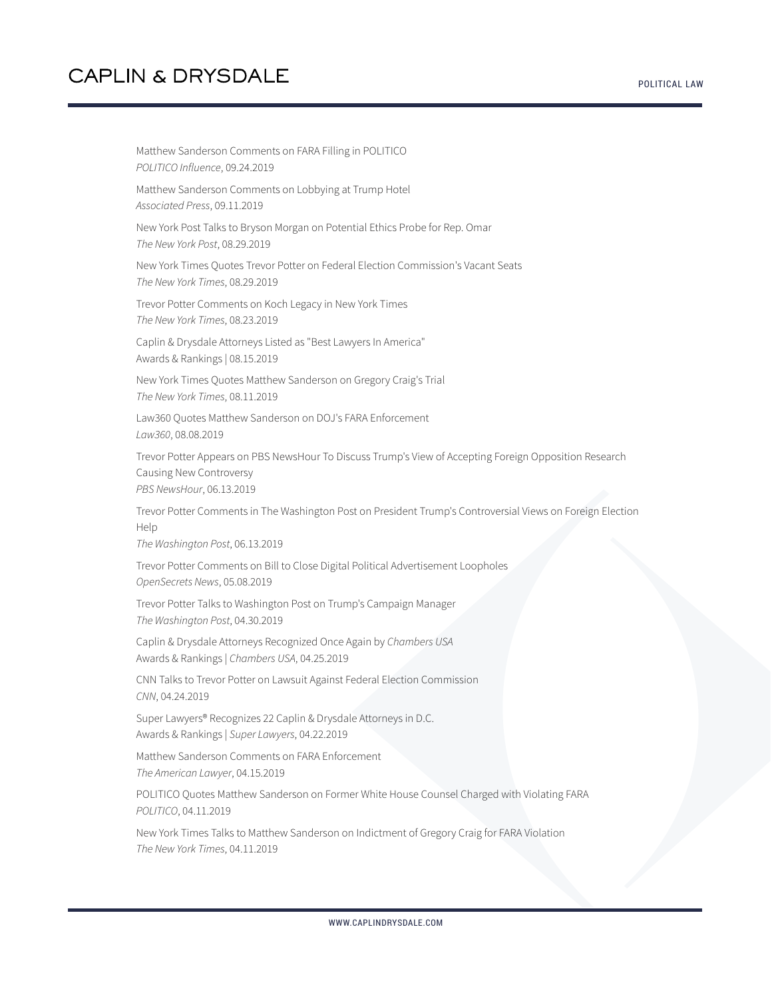Matthew Sanderson Comments on FARA Filling in POLITICO *POLITICO Influence*, 09.24.2019 Matthew Sanderson Comments on Lobbying at Trump Hotel *Associated Press*, 09.11.2019 New York Post Talks to Bryson Morgan on Potential Ethics Probe for Rep. Omar *The New York Post*, 08.29.2019 New York Times Quotes Trevor Potter on Federal Election Commission's Vacant Seats *The New York Times*, 08.29.2019 Trevor Potter Comments on Koch Legacy in New York Times *The New York Times*, 08.23.2019 Caplin & Drysdale Attorneys Listed as "Best Lawyers In America" Awards & Rankings | 08.15.2019 New York Times Quotes Matthew Sanderson on Gregory Craig's Trial *The New York Times*, 08.11.2019 Law360 Quotes Matthew Sanderson on DOJ's FARA Enforcement *Law360*, 08.08.2019 Trevor Potter Appears on PBS NewsHour To Discuss Trump's View of Accepting Foreign Opposition Research Causing New Controversy *PBS NewsHour*, 06.13.2019 Trevor Potter Comments in The Washington Post on President Trump's Controversial Views on Foreign Election Help *The Washington Post*, 06.13.2019 Trevor Potter Comments on Bill to Close Digital Political Advertisement Loopholes *OpenSecrets News*, 05.08.2019 Trevor Potter Talks to Washington Post on Trump's Campaign Manager *The Washington Post*, 04.30.2019 Caplin & Drysdale Attorneys Recognized Once Again by *Chambers USA* Awards & Rankings | *Chambers USA*, 04.25.2019 CNN Talks to Trevor Potter on Lawsuit Against Federal Election Commission *CNN*, 04.24.2019 Super Lawyers® Recognizes 22 Caplin & Drysdale Attorneys in D.C. Awards & Rankings | *Super Lawyers*, 04.22.2019 Matthew Sanderson Comments on FARA Enforcement *The American Lawyer*, 04.15.2019 POLITICO Quotes Matthew Sanderson on Former White House Counsel Charged with Violating FARA *POLITICO*, 04.11.2019 New York Times Talks to Matthew Sanderson on Indictment of Gregory Craig for FARA Violation *The New York Times*, 04.11.2019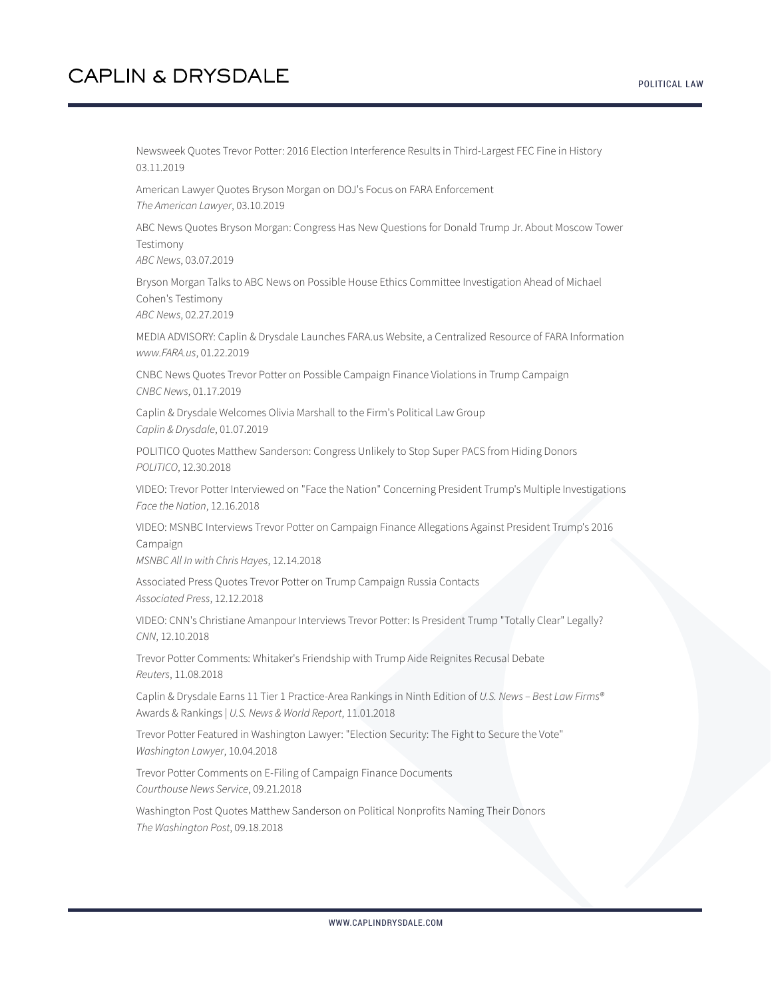Newsweek Quotes Trevor Potter: 2016 Election Interference Results in Third-Largest FEC Fine in History 03.11.2019

American Lawyer Quotes Bryson Morgan on DOJ's Focus on FARA Enforcement *The American Lawyer*, 03.10.2019

ABC News Quotes Bryson Morgan: Congress Has New Questions for Donald Trump Jr. About Moscow Tower Testimony

*ABC News*, 03.07.2019

Bryson Morgan Talks to ABC News on Possible House Ethics Committee Investigation Ahead of Michael Cohen's Testimony *ABC News*, 02.27.2019

MEDIA ADVISORY: Caplin & Drysdale Launches FARA.us Website, a Centralized Resource of FARA Information *www.FARA.us*, 01.22.2019

CNBC News Quotes Trevor Potter on Possible Campaign Finance Violations in Trump Campaign *CNBC News*, 01.17.2019

Caplin & Drysdale Welcomes Olivia Marshall to the Firm's Political Law Group *Caplin & Drysdale*, 01.07.2019

POLITICO Quotes Matthew Sanderson: Congress Unlikely to Stop Super PACS from Hiding Donors *POLITICO*, 12.30.2018

VIDEO: Trevor Potter Interviewed on "Face the Nation" Concerning President Trump's Multiple Investigations *Face the Nation*, 12.16.2018

VIDEO: MSNBC Interviews Trevor Potter on Campaign Finance Allegations Against President Trump's 2016 Campaign

*MSNBC All In with Chris Hayes*, 12.14.2018

Associated Press Quotes Trevor Potter on Trump Campaign Russia Contacts *Associated Press*, 12.12.2018

VIDEO: CNN's Christiane Amanpour Interviews Trevor Potter: Is President Trump "Totally Clear" Legally? *CNN*, 12.10.2018

Trevor Potter Comments: Whitaker's Friendship with Trump Aide Reignites Recusal Debate *Reuters*, 11.08.2018

Caplin & Drysdale Earns 11 Tier 1 Practice-Area Rankings in Ninth Edition of *U.S. News – Best Law Firms®* Awards & Rankings | *U.S. News & World Report*, 11.01.2018

Trevor Potter Featured in Washington Lawyer: "Election Security: The Fight to Secure the Vote" *Washington Lawyer*, 10.04.2018

Trevor Potter Comments on E-Filing of Campaign Finance Documents *Courthouse News Service*, 09.21.2018

Washington Post Quotes Matthew Sanderson on Political Nonprofits Naming Their Donors *The Washington Post*, 09.18.2018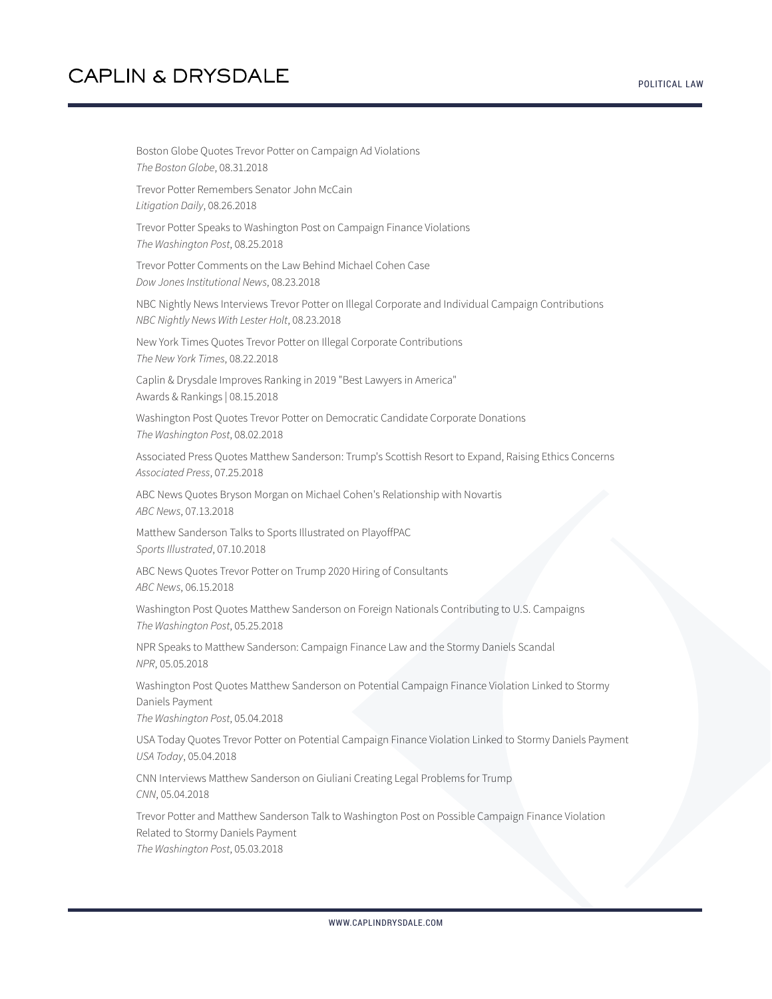Boston Globe Quotes Trevor Potter on Campaign Ad Violations *The Boston Globe*, 08.31.2018 Trevor Potter Remembers Senator John McCain *Litigation Daily*, 08.26.2018 Trevor Potter Speaks to Washington Post on Campaign Finance Violations *The Washington Post*, 08.25.2018 Trevor Potter Comments on the Law Behind Michael Cohen Case *Dow Jones Institutional News*, 08.23.2018 NBC Nightly News Interviews Trevor Potter on Illegal Corporate and Individual Campaign Contributions *NBC Nightly News With Lester Holt*, 08.23.2018 New York Times Quotes Trevor Potter on Illegal Corporate Contributions *The New York Times*, 08.22.2018 Caplin & Drysdale Improves Ranking in 2019 "Best Lawyers in America" Awards & Rankings | 08.15.2018 Washington Post Quotes Trevor Potter on Democratic Candidate Corporate Donations *The Washington Post*, 08.02.2018 Associated Press Quotes Matthew Sanderson: Trump's Scottish Resort to Expand, Raising Ethics Concerns *Associated Press*, 07.25.2018 ABC News Quotes Bryson Morgan on Michael Cohen's Relationship with Novartis *ABC News*, 07.13.2018 Matthew Sanderson Talks to Sports Illustrated on PlayoffPAC *Sports Illustrated*, 07.10.2018 ABC News Quotes Trevor Potter on Trump 2020 Hiring of Consultants *ABC News*, 06.15.2018 Washington Post Quotes Matthew Sanderson on Foreign Nationals Contributing to U.S. Campaigns *The Washington Post*, 05.25.2018 NPR Speaks to Matthew Sanderson: Campaign Finance Law and the Stormy Daniels Scandal *NPR*, 05.05.2018 Washington Post Quotes Matthew Sanderson on Potential Campaign Finance Violation Linked to Stormy Daniels Payment *The Washington Post*, 05.04.2018 USA Today Quotes Trevor Potter on Potential Campaign Finance Violation Linked to Stormy Daniels Payment *USA Today*, 05.04.2018 CNN Interviews Matthew Sanderson on Giuliani Creating Legal Problems for Trump *CNN*, 05.04.2018 Trevor Potter and Matthew Sanderson Talk to Washington Post on Possible Campaign Finance Violation Related to Stormy Daniels Payment *The Washington Post*, 05.03.2018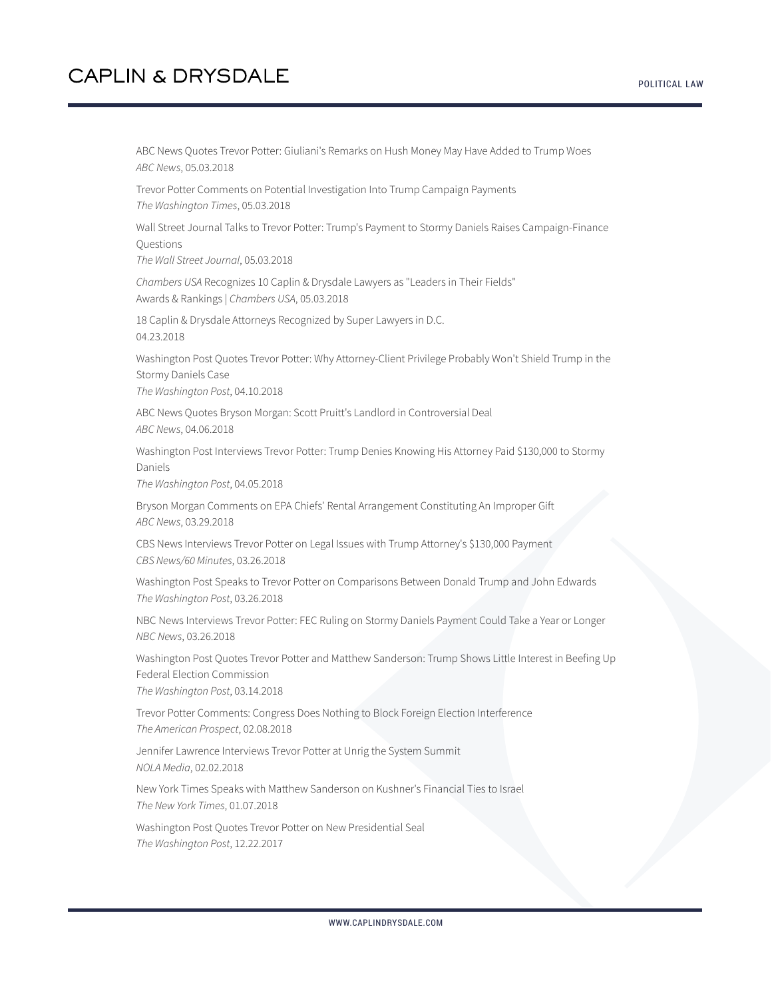ABC News Quotes Trevor Potter: Giuliani's Remarks on Hush Money May Have Added to Trump Woes *ABC News*, 05.03.2018

Trevor Potter Comments on Potential Investigation Into Trump Campaign Payments *The Washington Times*, 05.03.2018

Wall Street Journal Talks to Trevor Potter: Trump's Payment to Stormy Daniels Raises Campaign-Finance Questions

*The Wall Street Journal*, 05.03.2018

*Chambers USA* Recognizes 10 Caplin & Drysdale Lawyers as "Leaders in Their Fields" Awards & Rankings | *Chambers USA*, 05.03.2018

18 Caplin & Drysdale Attorneys Recognized by Super Lawyers in D.C. 04.23.2018

Washington Post Quotes Trevor Potter: Why Attorney-Client Privilege Probably Won't Shield Trump in the Stormy Daniels Case

*The Washington Post*, 04.10.2018

ABC News Quotes Bryson Morgan: Scott Pruitt's Landlord in Controversial Deal *ABC News*, 04.06.2018

Washington Post Interviews Trevor Potter: Trump Denies Knowing His Attorney Paid \$130,000 to Stormy Daniels

*The Washington Post*, 04.05.2018

Bryson Morgan Comments on EPA Chiefs' Rental Arrangement Constituting An Improper Gift *ABC News*, 03.29.2018

CBS News Interviews Trevor Potter on Legal Issues with Trump Attorney's \$130,000 Payment *CBS News/60 Minutes*, 03.26.2018

Washington Post Speaks to Trevor Potter on Comparisons Between Donald Trump and John Edwards *The Washington Post*, 03.26.2018

NBC News Interviews Trevor Potter: FEC Ruling on Stormy Daniels Payment Could Take a Year or Longer *NBC News*, 03.26.2018

Washington Post Quotes Trevor Potter and Matthew Sanderson: Trump Shows Little Interest in Beefing Up Federal Election Commission

*The Washington Post*, 03.14.2018

Trevor Potter Comments: Congress Does Nothing to Block Foreign Election Interference *The American Prospect*, 02.08.2018

Jennifer Lawrence Interviews Trevor Potter at Unrig the System Summit *NOLA Media*, 02.02.2018

New York Times Speaks with Matthew Sanderson on Kushner's Financial Ties to Israel *The New York Times*, 01.07.2018

Washington Post Quotes Trevor Potter on New Presidential Seal *The Washington Post*, 12.22.2017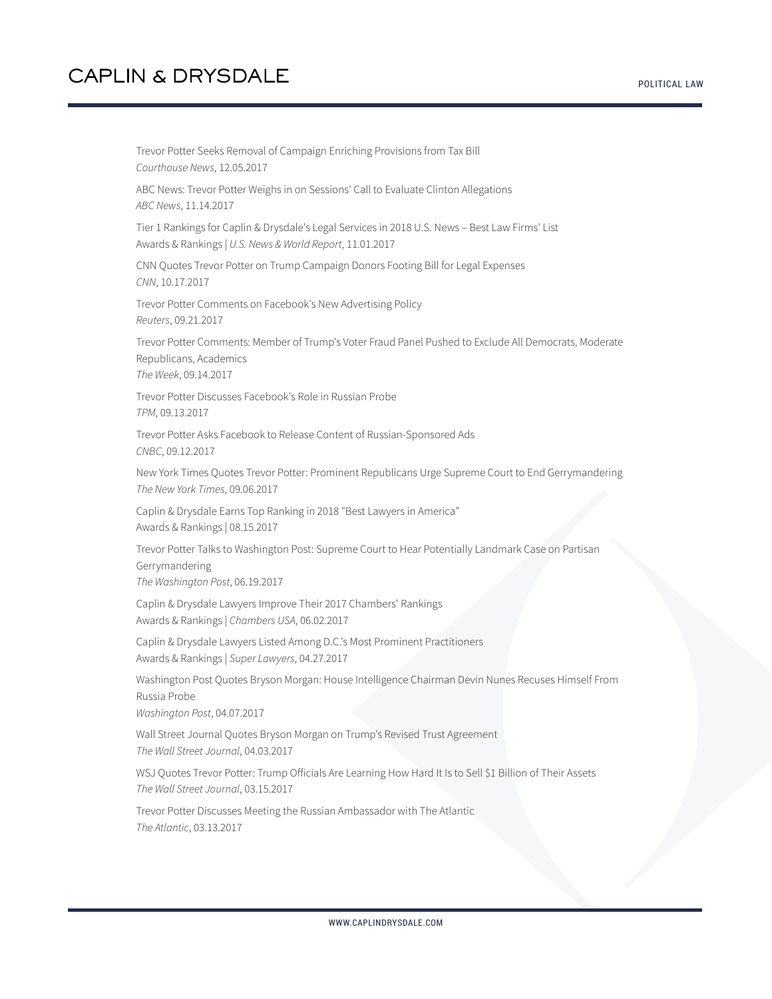Trevor Potter Seeks Removal of Campaign Enriching Provisions from Tax Bill *Courthouse News*, 12.05.2017 ABC News: Trevor Potter Weighs in on Sessions' Call to Evaluate Clinton Allegations *ABC News*, 11.14.2017 Tier 1 Rankings for Caplin & Drysdale's Legal Services in 2018 U.S. News – Best Law Firms' List Awards & Rankings | *U.S. News & World Report*, 11.01.2017 CNN Quotes Trevor Potter on Trump Campaign Donors Footing Bill for Legal Expenses *CNN*, 10.17.2017 Trevor Potter Comments on Facebook's New Advertising Policy *Reuters*, 09.21.2017 Trevor Potter Comments: Member of Trump's Voter Fraud Panel Pushed to Exclude All Democrats, Moderate Republicans, Academics *The Week*, 09.14.2017 Trevor Potter Discusses Facebook's Role in Russian Probe *TPM*, 09.13.2017 Trevor Potter Asks Facebook to Release Content of Russian-Sponsored Ads *CNBC*, 09.12.2017 New York Times Quotes Trevor Potter: Prominent Republicans Urge Supreme Court to End Gerrymandering *The New York Times*, 09.06.2017 Caplin & Drysdale Earns Top Ranking in 2018 "Best Lawyers in America" Awards & Rankings | 08.15.2017 Trevor Potter Talks to Washington Post: Supreme Court to Hear Potentially Landmark Case on Partisan Gerrymandering *The Washington Post*, 06.19.2017 Caplin & Drysdale Lawyers Improve Their 2017 Chambers' Rankings Awards & Rankings | *Chambers USA*, 06.02.2017 Caplin & Drysdale Lawyers Listed Among D.C.'s Most Prominent Practitioners Awards & Rankings | *Super Lawyers*, 04.27.2017 Washington Post Quotes Bryson Morgan: House Intelligence Chairman Devin Nunes Recuses Himself From Russia Probe *Washington Post*, 04.07.2017 Wall Street Journal Quotes Bryson Morgan on Trump's Revised Trust Agreement *The Wall Street Journal*, 04.03.2017 WSJ Quotes Trevor Potter: Trump Officials Are Learning How Hard It Is to Sell \$1 Billion of Their Assets *The Wall Street Journal*, 03.15.2017

Trevor Potter Discusses Meeting the Russian Ambassador with The Atlantic *The Atlantic*, 03.13.2017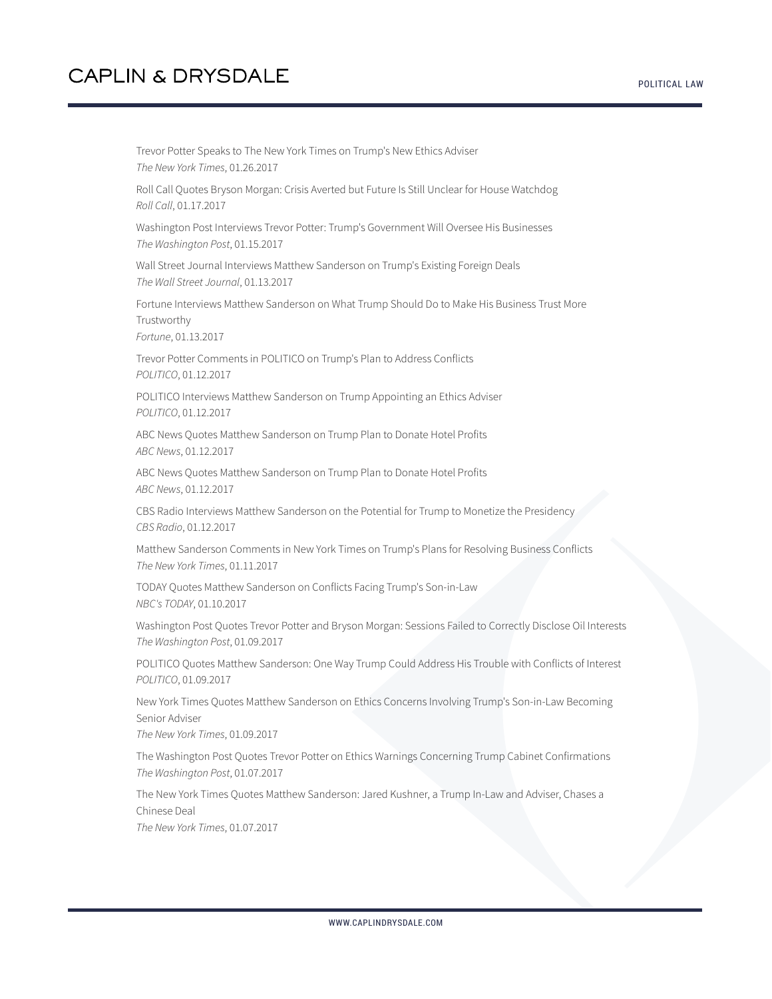Trevor Potter Speaks to The New York Times on Trump's New Ethics Adviser *The New York Times*, 01.26.2017

Roll Call Quotes Bryson Morgan: Crisis Averted but Future Is Still Unclear for House Watchdog *Roll Call*, 01.17.2017

Washington Post Interviews Trevor Potter: Trump's Government Will Oversee His Businesses *The Washington Post*, 01.15.2017

Wall Street Journal Interviews Matthew Sanderson on Trump's Existing Foreign Deals *The Wall Street Journal*, 01.13.2017

Fortune Interviews Matthew Sanderson on What Trump Should Do to Make His Business Trust More Trustworthy

*Fortune*, 01.13.2017

Trevor Potter Comments in POLITICO on Trump's Plan to Address Conflicts *POLITICO*, 01.12.2017

POLITICO Interviews Matthew Sanderson on Trump Appointing an Ethics Adviser *POLITICO*, 01.12.2017

ABC News Quotes Matthew Sanderson on Trump Plan to Donate Hotel Profits *ABC News*, 01.12.2017

ABC News Quotes Matthew Sanderson on Trump Plan to Donate Hotel Profits *ABC News*, 01.12.2017

CBS Radio Interviews Matthew Sanderson on the Potential for Trump to Monetize the Presidency *CBS Radio*, 01.12.2017

Matthew Sanderson Comments in New York Times on Trump's Plans for Resolving Business Conflicts *The New York Times*, 01.11.2017

TODAY Quotes Matthew Sanderson on Conflicts Facing Trump's Son-in-Law *NBC's TODAY*, 01.10.2017

Washington Post Quotes Trevor Potter and Bryson Morgan: Sessions Failed to Correctly Disclose Oil Interests *The Washington Post*, 01.09.2017

POLITICO Quotes Matthew Sanderson: One Way Trump Could Address His Trouble with Conflicts of Interest *POLITICO*, 01.09.2017

New York Times Quotes Matthew Sanderson on Ethics Concerns Involving Trump's Son-in-Law Becoming Senior Adviser

*The New York Times*, 01.09.2017

The Washington Post Quotes Trevor Potter on Ethics Warnings Concerning Trump Cabinet Confirmations *The Washington Post*, 01.07.2017

The New York Times Quotes Matthew Sanderson: Jared Kushner, a Trump In-Law and Adviser, Chases a Chinese Deal

*The New York Times*, 01.07.2017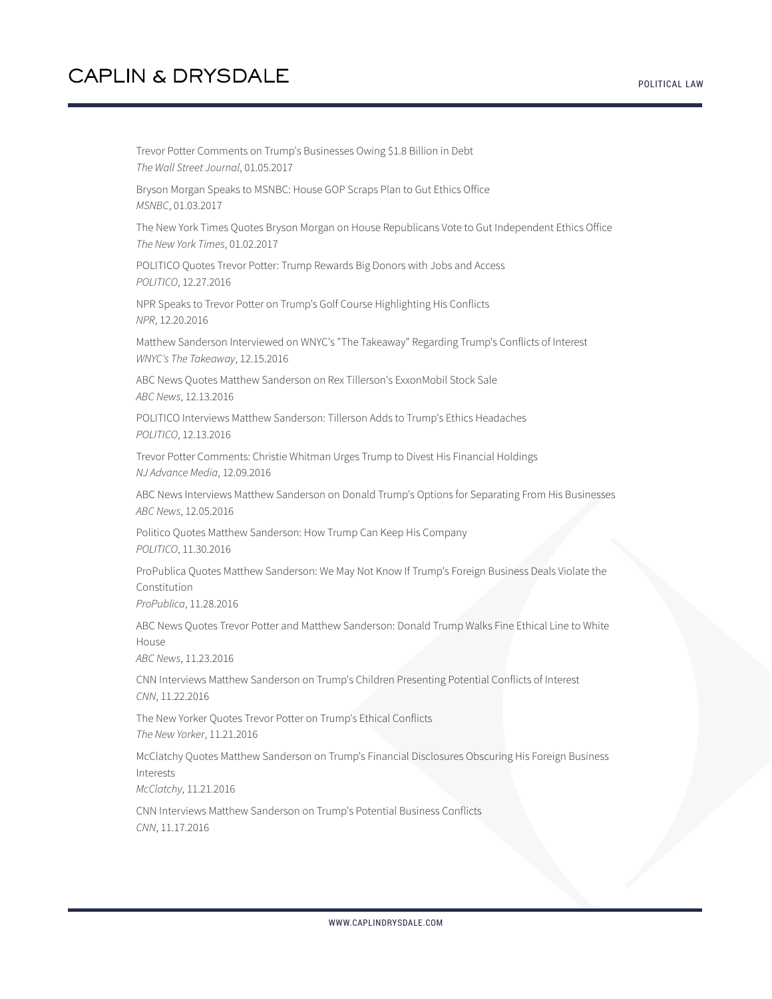Trevor Potter Comments on Trump's Businesses Owing \$1.8 Billion in Debt *The Wall Street Journal*, 01.05.2017 Bryson Morgan Speaks to MSNBC: House GOP Scraps Plan to Gut Ethics Office *MSNBC*, 01.03.2017 The New York Times Quotes Bryson Morgan on House Republicans Vote to Gut Independent Ethics Office *The New York Times*, 01.02.2017 POLITICO Quotes Trevor Potter: Trump Rewards Big Donors with Jobs and Access *POLITICO*, 12.27.2016 NPR Speaks to Trevor Potter on Trump's Golf Course Highlighting His Conflicts *NPR*, 12.20.2016 Matthew Sanderson Interviewed on WNYC's "The Takeaway" Regarding Trump's Conflicts of Interest *WNYC's The Takeaway*, 12.15.2016 ABC News Quotes Matthew Sanderson on Rex Tillerson's ExxonMobil Stock Sale *ABC News*, 12.13.2016 POLITICO Interviews Matthew Sanderson: Tillerson Adds to Trump's Ethics Headaches *POLITICO*, 12.13.2016 Trevor Potter Comments: Christie Whitman Urges Trump to Divest His Financial Holdings *NJ Advance Media*, 12.09.2016 ABC News Interviews Matthew Sanderson on Donald Trump's Options for Separating From His Businesses *ABC News*, 12.05.2016 Politico Quotes Matthew Sanderson: How Trump Can Keep His Company *POLITICO*, 11.30.2016 ProPublica Quotes Matthew Sanderson: We May Not Know If Trump's Foreign Business Deals Violate the **Constitution** *ProPublica*, 11.28.2016 ABC News Quotes Trevor Potter and Matthew Sanderson: Donald Trump Walks Fine Ethical Line to White House *ABC News*, 11.23.2016 CNN Interviews Matthew Sanderson on Trump's Children Presenting Potential Conflicts of Interest *CNN*, 11.22.2016 The New Yorker Quotes Trevor Potter on Trump's Ethical Conflicts *The New Yorker*, 11.21.2016 McClatchy Quotes Matthew Sanderson on Trump's Financial Disclosures Obscuring His Foreign Business **Interests** *McClatchy*, 11.21.2016

CNN Interviews Matthew Sanderson on Trump's Potential Business Conflicts *CNN*, 11.17.2016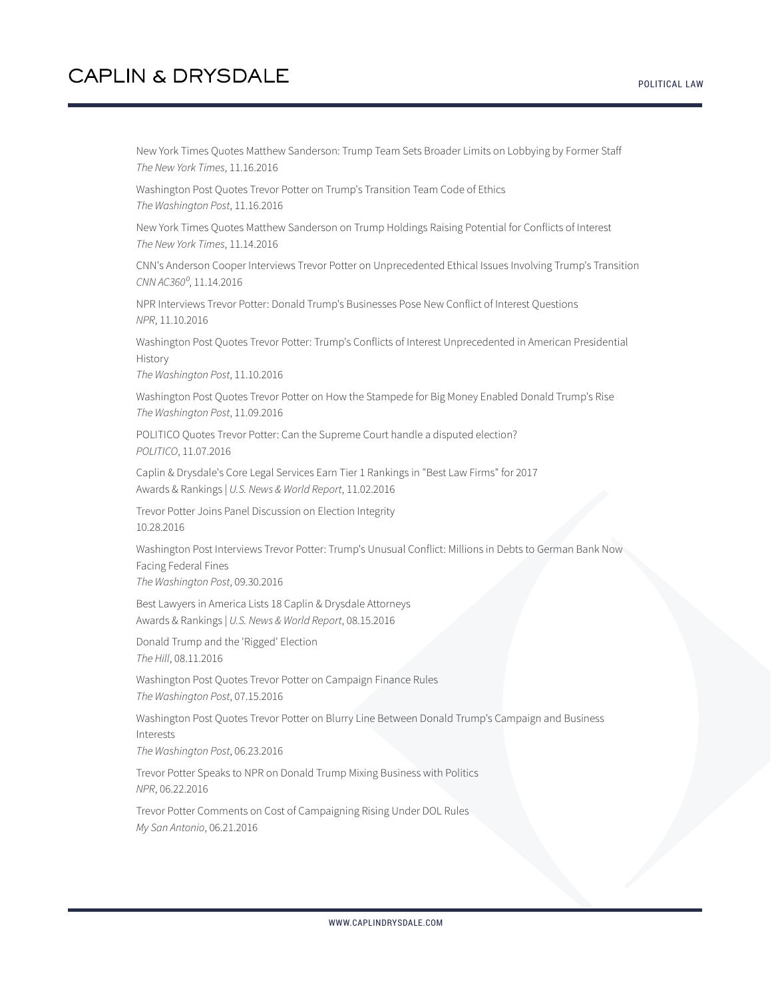New York Times Quotes Matthew Sanderson: Trump Team Sets Broader Limits on Lobbying by Former Staff *The New York Times*, 11.16.2016

Washington Post Quotes Trevor Potter on Trump's Transition Team Code of Ethics *The Washington Post*, 11.16.2016

New York Times Quotes Matthew Sanderson on Trump Holdings Raising Potential for Conflicts of Interest *The New York Times*, 11.14.2016

CNN's Anderson Cooper Interviews Trevor Potter on Unprecedented Ethical Issues Involving Trump's Transition *CNN AC360⁰*, 11.14.2016

NPR Interviews Trevor Potter: Donald Trump's Businesses Pose New Conflict of Interest Questions *NPR*, 11.10.2016

Washington Post Quotes Trevor Potter: Trump's Conflicts of Interest Unprecedented in American Presidential History

*The Washington Post*, 11.10.2016

Washington Post Quotes Trevor Potter on How the Stampede for Big Money Enabled Donald Trump's Rise *The Washington Post*, 11.09.2016

POLITICO Quotes Trevor Potter: Can the Supreme Court handle a disputed election? *POLITICO*, 11.07.2016

Caplin & Drysdale's Core Legal Services Earn Tier 1 Rankings in "Best Law Firms" for 2017 Awards & Rankings | *U.S. News & World Report*, 11.02.2016

Trevor Potter Joins Panel Discussion on Election Integrity 10.28.2016

Washington Post Interviews Trevor Potter: Trump's Unusual Conflict: Millions in Debts to German Bank Now Facing Federal Fines *The Washington Post*, 09.30.2016

Best Lawyers in America Lists 18 Caplin & Drysdale Attorneys Awards & Rankings | *U.S. News & World Report*, 08.15.2016

Donald Trump and the 'Rigged' Election *The Hill*, 08.11.2016

Washington Post Quotes Trevor Potter on Campaign Finance Rules *The Washington Post*, 07.15.2016

Washington Post Quotes Trevor Potter on Blurry Line Between Donald Trump's Campaign and Business Interests

*The Washington Post*, 06.23.2016

Trevor Potter Speaks to NPR on Donald Trump Mixing Business with Politics *NPR*, 06.22.2016

Trevor Potter Comments on Cost of Campaigning Rising Under DOL Rules *My San Antonio*, 06.21.2016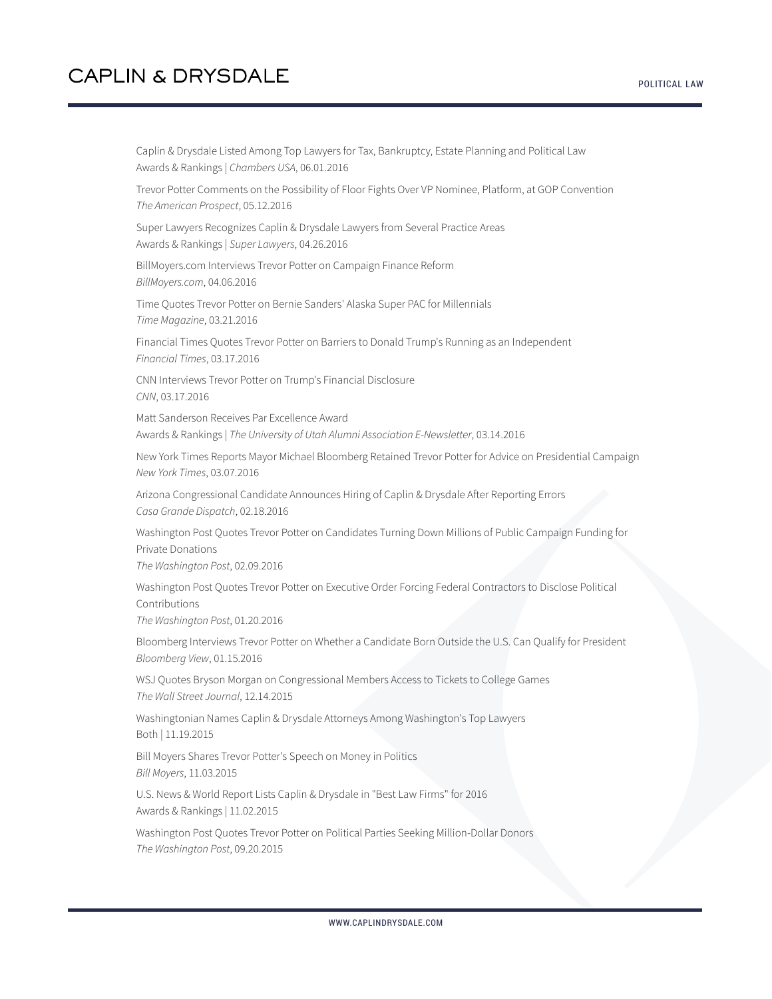Caplin & Drysdale Listed Among Top Lawyers for Tax, Bankruptcy, Estate Planning and Political Law Awards & Rankings | *Chambers USA*, 06.01.2016 Trevor Potter Comments on the Possibility of Floor Fights Over VP Nominee, Platform, at GOP Convention *The American Prospect*, 05.12.2016 Super Lawyers Recognizes Caplin & Drysdale Lawyers from Several Practice Areas Awards & Rankings | *Super Lawyers*, 04.26.2016 BillMoyers.com Interviews Trevor Potter on Campaign Finance Reform *BillMoyers.com*, 04.06.2016 Time Quotes Trevor Potter on Bernie Sanders' Alaska Super PAC for Millennials *Time Magazine*, 03.21.2016 Financial Times Quotes Trevor Potter on Barriers to Donald Trump's Running as an Independent *Financial Times*, 03.17.2016 CNN Interviews Trevor Potter on Trump's Financial Disclosure *CNN*, 03.17.2016 Matt Sanderson Receives Par Excellence Award Awards & Rankings | *The University of Utah Alumni Association E-Newsletter*, 03.14.2016 New York Times Reports Mayor Michael Bloomberg Retained Trevor Potter for Advice on Presidential Campaign *New York Times*, 03.07.2016 Arizona Congressional Candidate Announces Hiring of Caplin & Drysdale After Reporting Errors *Casa Grande Dispatch*, 02.18.2016 Washington Post Quotes Trevor Potter on Candidates Turning Down Millions of Public Campaign Funding for Private Donations *The Washington Post*, 02.09.2016 Washington Post Quotes Trevor Potter on Executive Order Forcing Federal Contractors to Disclose Political Contributions *The Washington Post*, 01.20.2016 Bloomberg Interviews Trevor Potter on Whether a Candidate Born Outside the U.S. Can Qualify for President *Bloomberg View*, 01.15.2016 WSJ Quotes Bryson Morgan on Congressional Members Access to Tickets to College Games *The Wall Street Journal*, 12.14.2015 Washingtonian Names Caplin & Drysdale Attorneys Among Washington's Top Lawyers Both | 11.19.2015 Bill Moyers Shares Trevor Potter's Speech on Money in Politics *Bill Moyers*, 11.03.2015 U.S. News & World Report Lists Caplin & Drysdale in "Best Law Firms" for 2016 Awards & Rankings | 11.02.2015

Washington Post Quotes Trevor Potter on Political Parties Seeking Million-Dollar Donors *The Washington Post*, 09.20.2015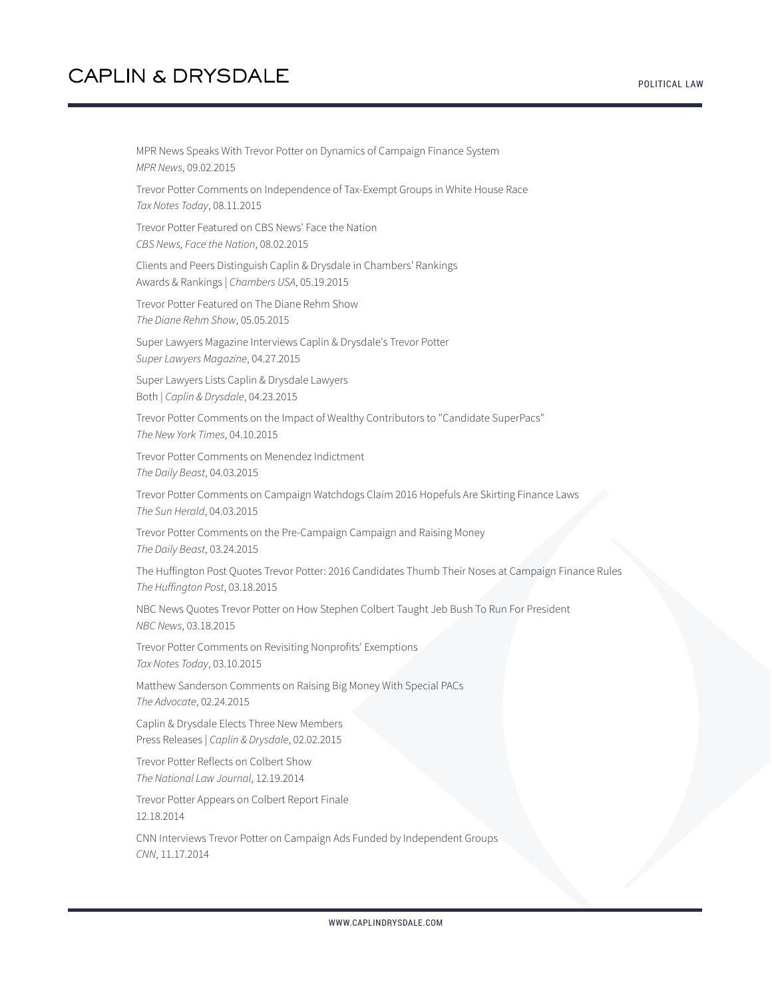MPR News Speaks With Trevor Potter on Dynamics of Campaign Finance System *MPR News*, 09.02.2015

Trevor Potter Comments on Independence of Tax-Exempt Groups in White House Race *Tax Notes Today*, 08.11.2015

Trevor Potter Featured on CBS News' Face the Nation *CBS News, Face the Nation*, 08.02.2015

Clients and Peers Distinguish Caplin & Drysdale in Chambers' Rankings Awards & Rankings | *Chambers USA*, 05.19.2015

Trevor Potter Featured on The Diane Rehm Show *The Diane Rehm Show*, 05.05.2015

Super Lawyers Magazine Interviews Caplin & Drysdale's Trevor Potter *Super Lawyers Magazine*, 04.27.2015

Super Lawyers Lists Caplin & Drysdale Lawyers Both | *Caplin & Drysdale*, 04.23.2015

Trevor Potter Comments on the Impact of Wealthy Contributors to "Candidate SuperPacs" *The New York Times*, 04.10.2015

Trevor Potter Comments on Menendez Indictment *The Daily Beast*, 04.03.2015

Trevor Potter Comments on Campaign Watchdogs Claim 2016 Hopefuls Are Skirting Finance Laws *The Sun Herald*, 04.03.2015

Trevor Potter Comments on the Pre-Campaign Campaign and Raising Money *The Daily Beast*, 03.24.2015

The Huffington Post Quotes Trevor Potter: 2016 Candidates Thumb Their Noses at Campaign Finance Rules *The Huffington Post*, 03.18.2015

NBC News Quotes Trevor Potter on How Stephen Colbert Taught Jeb Bush To Run For President *NBC News*, 03.18.2015

Trevor Potter Comments on Revisiting Nonprofits' Exemptions *Tax Notes Today*, 03.10.2015

Matthew Sanderson Comments on Raising Big Money With Special PACs *The Advocate*, 02.24.2015

Caplin & Drysdale Elects Three New Members Press Releases | *Caplin & Drysdale*, 02.02.2015

Trevor Potter Reflects on Colbert Show *The National Law Journal*, 12.19.2014

Trevor Potter Appears on Colbert Report Finale 12.18.2014

CNN Interviews Trevor Potter on Campaign Ads Funded by Independent Groups *CNN*, 11.17.2014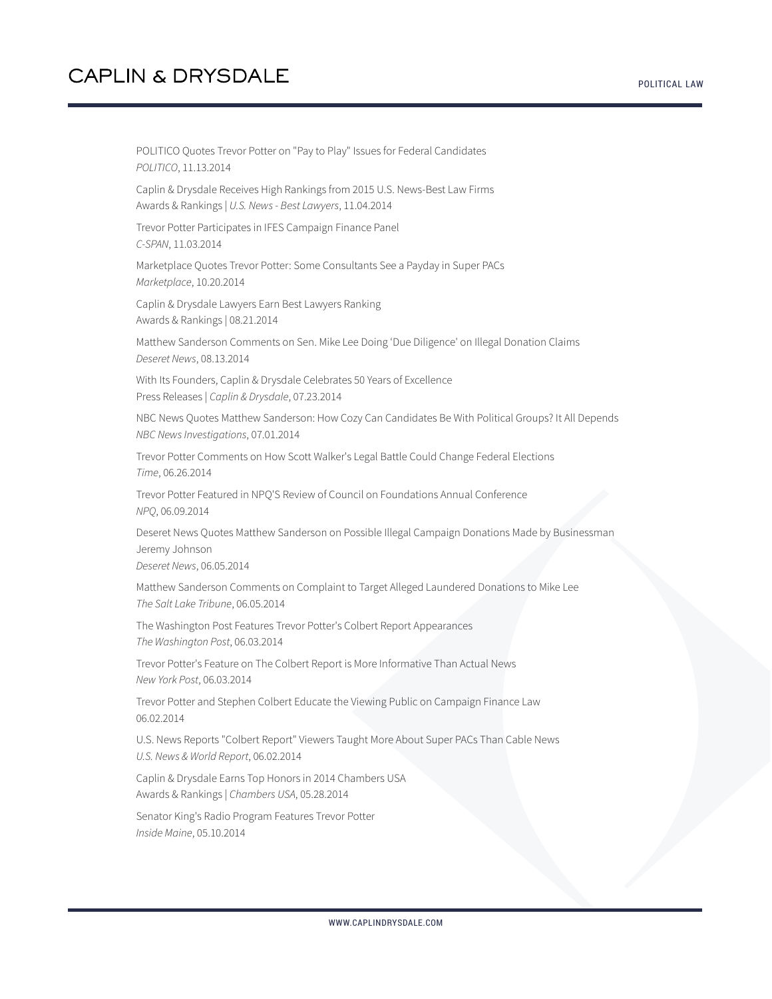POLITICO Quotes Trevor Potter on "Pay to Play" Issues for Federal Candidates *POLITICO*, 11.13.2014

Caplin & Drysdale Receives High Rankings from 2015 U.S. News-Best Law Firms Awards & Rankings | *U.S. News - Best Lawyers*, 11.04.2014

Trevor Potter Participates in IFES Campaign Finance Panel *C-SPAN*, 11.03.2014

Marketplace Quotes Trevor Potter: Some Consultants See a Payday in Super PACs *Marketplace*, 10.20.2014

Caplin & Drysdale Lawyers Earn Best Lawyers Ranking Awards & Rankings | 08.21.2014

Matthew Sanderson Comments on Sen. Mike Lee Doing 'Due Diligence' on Illegal Donation Claims *Deseret News*, 08.13.2014

With Its Founders, Caplin & Drysdale Celebrates 50 Years of Excellence Press Releases | *Caplin & Drysdale*, 07.23.2014

NBC News Quotes Matthew Sanderson: How Cozy Can Candidates Be With Political Groups? It All Depends *NBC News Investigations*, 07.01.2014

Trevor Potter Comments on How Scott Walker's Legal Battle Could Change Federal Elections *Time*, 06.26.2014

Trevor Potter Featured in NPQ'S Review of Council on Foundations Annual Conference *NPQ*, 06.09.2014

Deseret News Quotes Matthew Sanderson on Possible Illegal Campaign Donations Made by Businessman Jeremy Johnson

*Deseret News*, 06.05.2014

Matthew Sanderson Comments on Complaint to Target Alleged Laundered Donations to Mike Lee *The Salt Lake Tribune*, 06.05.2014

The Washington Post Features Trevor Potter's Colbert Report Appearances *The Washington Post*, 06.03.2014

Trevor Potter's Feature on The Colbert Report is More Informative Than Actual News *New York Post*, 06.03.2014

Trevor Potter and Stephen Colbert Educate the Viewing Public on Campaign Finance Law 06.02.2014

U.S. News Reports "Colbert Report" Viewers Taught More About Super PACs Than Cable News *U.S. News & World Report*, 06.02.2014

Caplin & Drysdale Earns Top Honors in 2014 Chambers USA Awards & Rankings | *Chambers USA*, 05.28.2014

Senator King's Radio Program Features Trevor Potter *Inside Maine*, 05.10.2014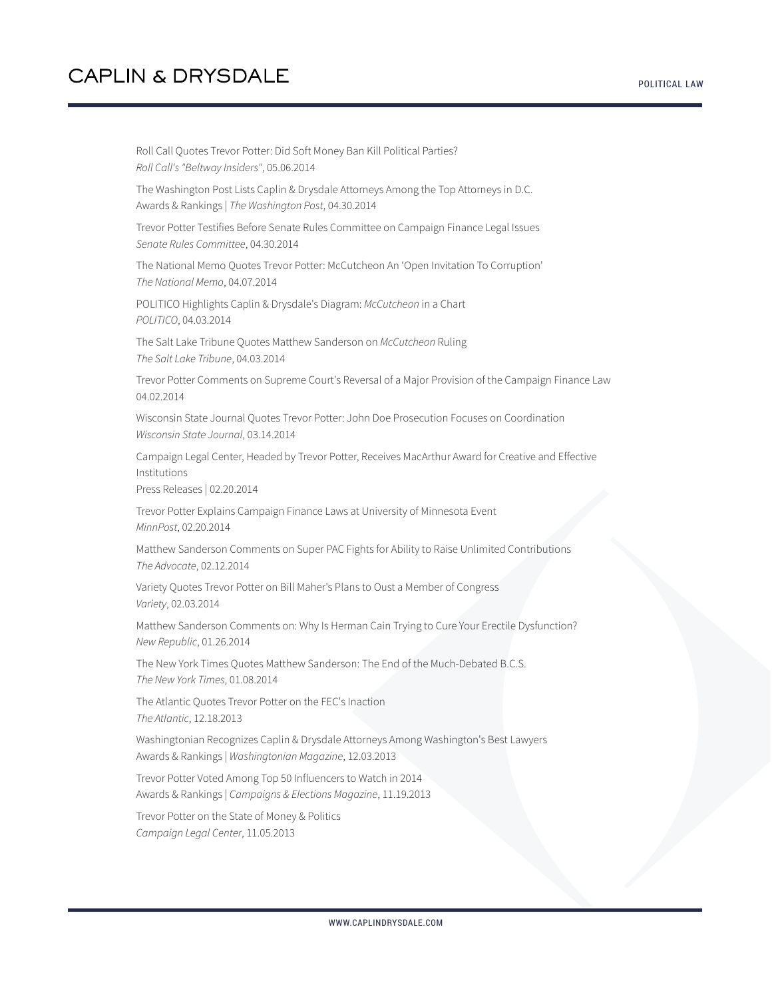Roll Call Quotes Trevor Potter: Did Soft Money Ban Kill Political Parties? *Roll Call's "Beltway Insiders"*, 05.06.2014 The Washington Post Lists Caplin & Drysdale Attorneys Among the Top Attorneys in D.C. Awards & Rankings | *The Washington Post*, 04.30.2014 Trevor Potter Testifies Before Senate Rules Committee on Campaign Finance Legal Issues *Senate Rules Committee*, 04.30.2014 The National Memo Quotes Trevor Potter: McCutcheon An 'Open Invitation To Corruption' *The National Memo*, 04.07.2014 POLITICO Highlights Caplin & Drysdale's Diagram: *McCutcheon* in a Chart *POLITICO*, 04.03.2014 The Salt Lake Tribune Quotes Matthew Sanderson on *McCutcheon* Ruling *The Salt Lake Tribune*, 04.03.2014 Trevor Potter Comments on Supreme Court's Reversal of a Major Provision of the Campaign Finance Law 04.02.2014 Wisconsin State Journal Quotes Trevor Potter: John Doe Prosecution Focuses on Coordination *Wisconsin State Journal*, 03.14.2014 Campaign Legal Center, Headed by Trevor Potter, Receives MacArthur Award for Creative and Effective Institutions Press Releases | 02.20.2014 Trevor Potter Explains Campaign Finance Laws at University of Minnesota Event *MinnPost*, 02.20.2014 Matthew Sanderson Comments on Super PAC Fights for Ability to Raise Unlimited Contributions *The Advocate*, 02.12.2014 Variety Quotes Trevor Potter on Bill Maher's Plans to Oust a Member of Congress *Variety*, 02.03.2014 Matthew Sanderson Comments on: Why Is Herman Cain Trying to Cure Your Erectile Dysfunction? *New Republic*, 01.26.2014 The New York Times Quotes Matthew Sanderson: The End of the Much-Debated B.C.S. *The New York Times*, 01.08.2014 The Atlantic Quotes Trevor Potter on the FEC's Inaction *The Atlantic*, 12.18.2013 Washingtonian Recognizes Caplin & Drysdale Attorneys Among Washington's Best Lawyers Awards & Rankings | *Washingtonian Magazine*, 12.03.2013 Trevor Potter Voted Among Top 50 Influencers to Watch in 2014 Awards & Rankings | *Campaigns & Elections Magazine*, 11.19.2013 Trevor Potter on the State of Money & Politics *Campaign Legal Center*, 11.05.2013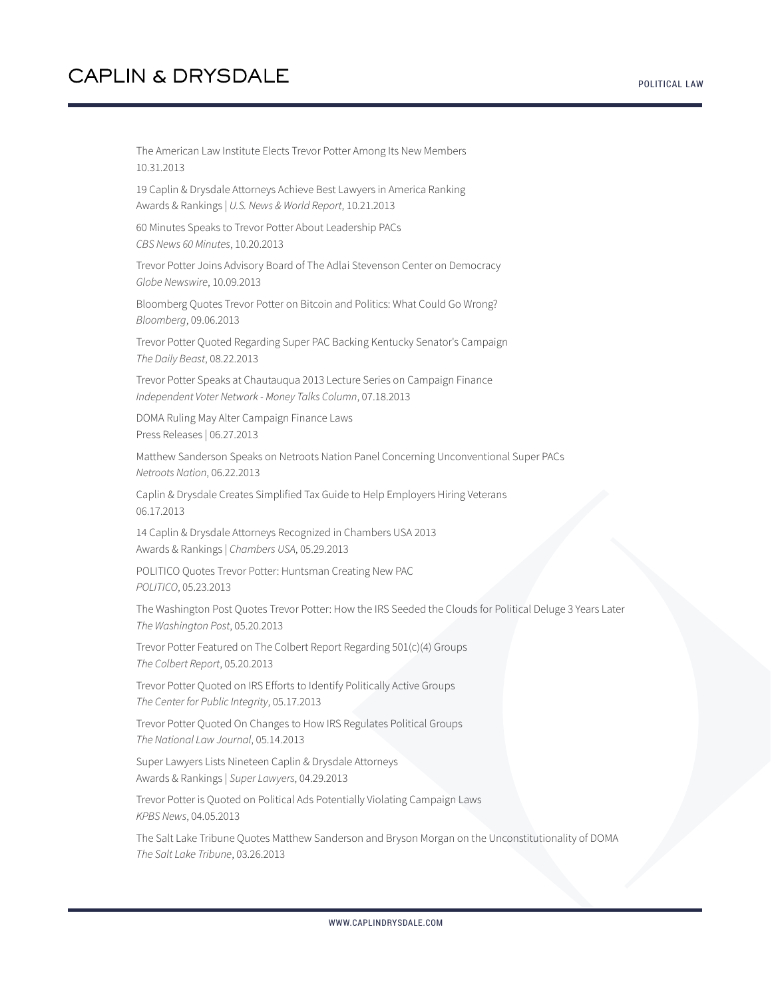The American Law Institute Elects Trevor Potter Among Its New Members 10.31.2013

19 Caplin & Drysdale Attorneys Achieve Best Lawyers in America Ranking Awards & Rankings | *U.S. News & World Report*, 10.21.2013

60 Minutes Speaks to Trevor Potter About Leadership PACs *CBS News 60 Minutes*, 10.20.2013

Trevor Potter Joins Advisory Board of The Adlai Stevenson Center on Democracy *Globe Newswire*, 10.09.2013

Bloomberg Quotes Trevor Potter on Bitcoin and Politics: What Could Go Wrong? *Bloomberg*, 09.06.2013

Trevor Potter Quoted Regarding Super PAC Backing Kentucky Senator's Campaign *The Daily Beast*, 08.22.2013

Trevor Potter Speaks at Chautauqua 2013 Lecture Series on Campaign Finance *Independent Voter Network - Money Talks Column*, 07.18.2013

DOMA Ruling May Alter Campaign Finance Laws Press Releases | 06.27.2013

Matthew Sanderson Speaks on Netroots Nation Panel Concerning Unconventional Super PACs *Netroots Nation*, 06.22.2013

Caplin & Drysdale Creates Simplified Tax Guide to Help Employers Hiring Veterans 06.17.2013

14 Caplin & Drysdale Attorneys Recognized in Chambers USA 2013 Awards & Rankings | *Chambers USA*, 05.29.2013

POLITICO Quotes Trevor Potter: Huntsman Creating New PAC *POLITICO*, 05.23.2013

The Washington Post Quotes Trevor Potter: How the IRS Seeded the Clouds for Political Deluge 3 Years Later *The Washington Post*, 05.20.2013

Trevor Potter Featured on The Colbert Report Regarding 501(c)(4) Groups *The Colbert Report*, 05.20.2013

Trevor Potter Quoted on IRS Efforts to Identify Politically Active Groups *The Center for Public Integrity*, 05.17.2013

Trevor Potter Quoted On Changes to How IRS Regulates Political Groups *The National Law Journal*, 05.14.2013

Super Lawyers Lists Nineteen Caplin & Drysdale Attorneys Awards & Rankings | *Super Lawyers*, 04.29.2013

Trevor Potter is Quoted on Political Ads Potentially Violating Campaign Laws *KPBS News*, 04.05.2013

The Salt Lake Tribune Quotes Matthew Sanderson and Bryson Morgan on the Unconstitutionality of DOMA *The Salt Lake Tribune*, 03.26.2013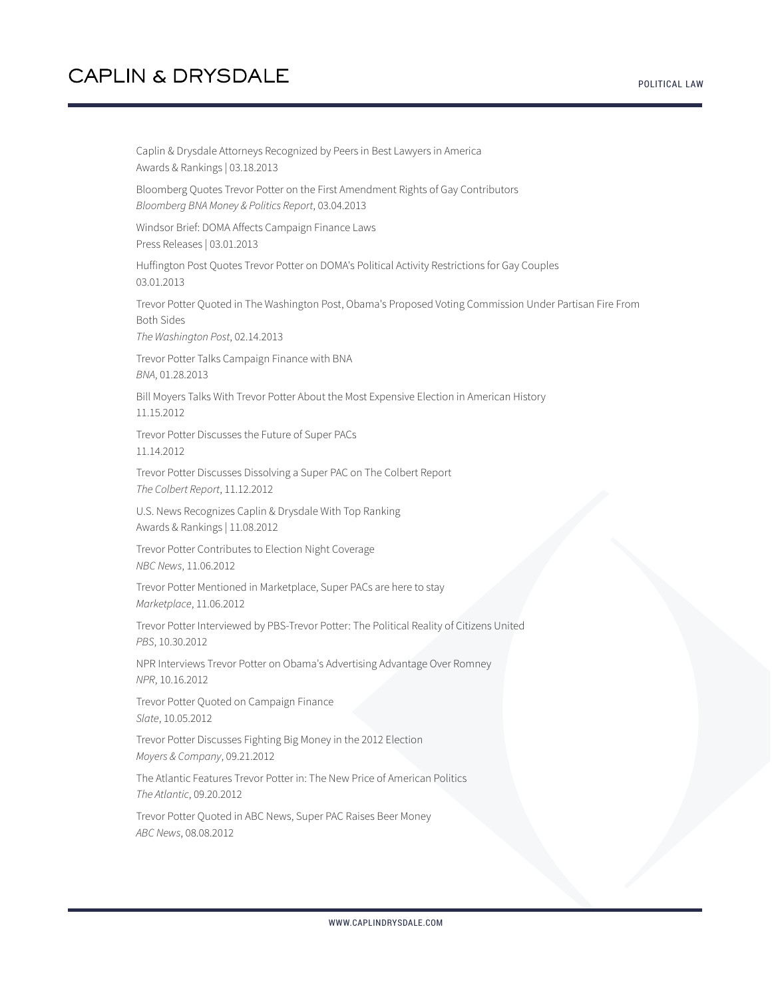Caplin & Drysdale Attorneys Recognized by Peers in Best Lawyers in America Awards & Rankings | 03.18.2013 Bloomberg Quotes Trevor Potter on the First Amendment Rights of Gay Contributors *Bloomberg BNA Money & Politics Report*, 03.04.2013 Windsor Brief: DOMA Affects Campaign Finance Laws Press Releases | 03.01.2013 Huffington Post Quotes Trevor Potter on DOMA's Political Activity Restrictions for Gay Couples 03.01.2013 Trevor Potter Quoted in The Washington Post, Obama's Proposed Voting Commission Under Partisan Fire From Both Sides *The Washington Post*, 02.14.2013 Trevor Potter Talks Campaign Finance with BNA *BNA*, 01.28.2013 Bill Moyers Talks With Trevor Potter About the Most Expensive Election in American History 11.15.2012 Trevor Potter Discusses the Future of Super PACs 11.14.2012 Trevor Potter Discusses Dissolving a Super PAC on The Colbert Report *The Colbert Report*, 11.12.2012 U.S. News Recognizes Caplin & Drysdale With Top Ranking Awards & Rankings | 11.08.2012 Trevor Potter Contributes to Election Night Coverage *NBC News*, 11.06.2012 Trevor Potter Mentioned in Marketplace, Super PACs are here to stay *Marketplace*, 11.06.2012 Trevor Potter Interviewed by PBS-Trevor Potter: The Political Reality of Citizens United *PBS*, 10.30.2012 NPR Interviews Trevor Potter on Obama's Advertising Advantage Over Romney *NPR*, 10.16.2012 Trevor Potter Quoted on Campaign Finance *Slate*, 10.05.2012 Trevor Potter Discusses Fighting Big Money in the 2012 Election *Moyers & Company*, 09.21.2012 The Atlantic Features Trevor Potter in: The New Price of American Politics *The Atlantic*, 09.20.2012 Trevor Potter Quoted in ABC News, Super PAC Raises Beer Money *ABC News*, 08.08.2012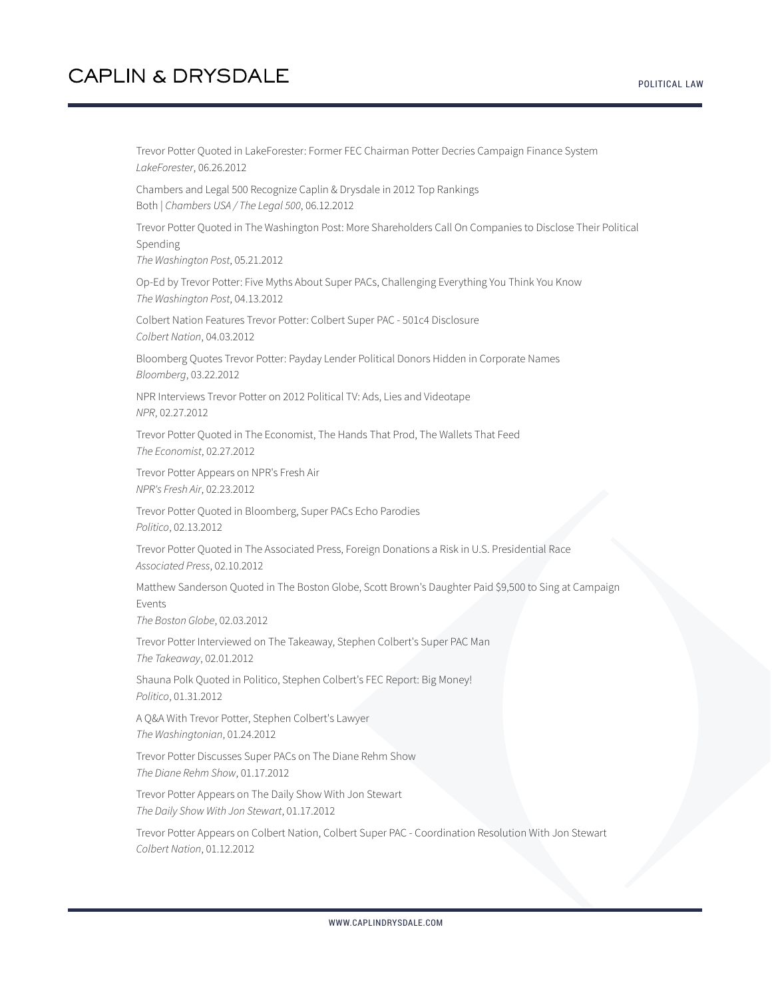Trevor Potter Quoted in LakeForester: Former FEC Chairman Potter Decries Campaign Finance System *LakeForester*, 06.26.2012 Chambers and Legal 500 Recognize Caplin & Drysdale in 2012 Top Rankings Both | *Chambers USA / The Legal 500*, 06.12.2012 Trevor Potter Quoted in The Washington Post: More Shareholders Call On Companies to Disclose Their Political Spending *The Washington Post*, 05.21.2012 Op-Ed by Trevor Potter: Five Myths About Super PACs, Challenging Everything You Think You Know *The Washington Post*, 04.13.2012 Colbert Nation Features Trevor Potter: Colbert Super PAC - 501c4 Disclosure *Colbert Nation*, 04.03.2012 Bloomberg Quotes Trevor Potter: Payday Lender Political Donors Hidden in Corporate Names *Bloomberg*, 03.22.2012 NPR Interviews Trevor Potter on 2012 Political TV: Ads, Lies and Videotape *NPR*, 02.27.2012 Trevor Potter Quoted in The Economist, The Hands That Prod, The Wallets That Feed *The Economist*, 02.27.2012 Trevor Potter Appears on NPR's Fresh Air *NPR's Fresh Air*, 02.23.2012 Trevor Potter Quoted in Bloomberg, Super PACs Echo Parodies *Politico*, 02.13.2012 Trevor Potter Quoted in The Associated Press, Foreign Donations a Risk in U.S. Presidential Race *Associated Press*, 02.10.2012 Matthew Sanderson Quoted in The Boston Globe, Scott Brown's Daughter Paid \$9,500 to Sing at Campaign Events *The Boston Globe*, 02.03.2012 Trevor Potter Interviewed on The Takeaway, Stephen Colbert's Super PAC Man *The Takeaway*, 02.01.2012 Shauna Polk Quoted in Politico, Stephen Colbert's FEC Report: Big Money! *Politico*, 01.31.2012 A Q&A With Trevor Potter, Stephen Colbert's Lawyer *The Washingtonian*, 01.24.2012 Trevor Potter Discusses Super PACs on The Diane Rehm Show *The Diane Rehm Show*, 01.17.2012 Trevor Potter Appears on The Daily Show With Jon Stewart *The Daily Show With Jon Stewart*, 01.17.2012 Trevor Potter Appears on Colbert Nation, Colbert Super PAC - Coordination Resolution With Jon Stewart *Colbert Nation*, 01.12.2012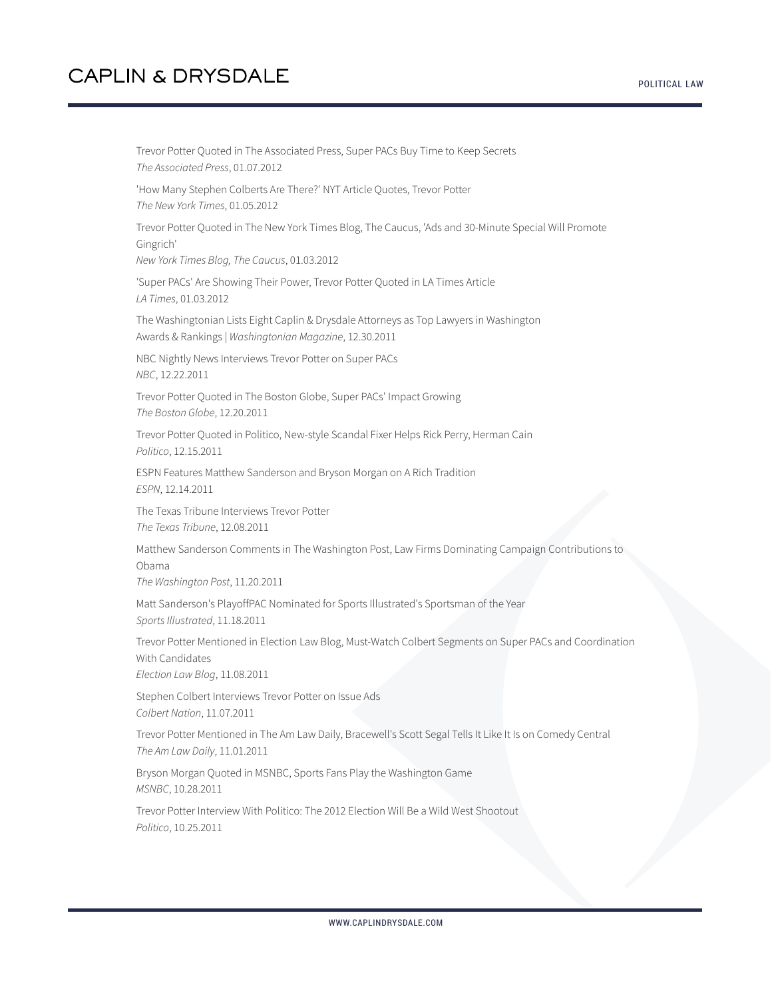Trevor Potter Quoted in The Associated Press, Super PACs Buy Time to Keep Secrets *The Associated Press*, 01.07.2012 'How Many Stephen Colberts Are There?' NYT Article Quotes, Trevor Potter *The New York Times*, 01.05.2012 Trevor Potter Quoted in The New York Times Blog, The Caucus, 'Ads and 30-Minute Special Will Promote Gingrich' *New York Times Blog, The Caucus*, 01.03.2012 'Super PACs' Are Showing Their Power, Trevor Potter Quoted in LA Times Article *LA Times*, 01.03.2012 The Washingtonian Lists Eight Caplin & Drysdale Attorneys as Top Lawyers in Washington Awards & Rankings | *Washingtonian Magazine*, 12.30.2011 NBC Nightly News Interviews Trevor Potter on Super PACs *NBC*, 12.22.2011 Trevor Potter Quoted in The Boston Globe, Super PACs' Impact Growing *The Boston Globe*, 12.20.2011 Trevor Potter Quoted in Politico, New-style Scandal Fixer Helps Rick Perry, Herman Cain *Politico*, 12.15.2011 ESPN Features Matthew Sanderson and Bryson Morgan on A Rich Tradition *ESPN*, 12.14.2011 The Texas Tribune Interviews Trevor Potter *The Texas Tribune*, 12.08.2011 Matthew Sanderson Comments in The Washington Post, Law Firms Dominating Campaign Contributions to Obama *The Washington Post*, 11.20.2011 Matt Sanderson's PlayoffPAC Nominated for Sports Illustrated's Sportsman of the Year *Sports Illustrated*, 11.18.2011 Trevor Potter Mentioned in Election Law Blog, Must-Watch Colbert Segments on Super PACs and Coordination With Candidates *Election Law Blog*, 11.08.2011 Stephen Colbert Interviews Trevor Potter on Issue Ads *Colbert Nation*, 11.07.2011 Trevor Potter Mentioned in The Am Law Daily, Bracewell's Scott Segal Tells It Like It Is on Comedy Central *The Am Law Daily*, 11.01.2011 Bryson Morgan Quoted in MSNBC, Sports Fans Play the Washington Game *MSNBC*, 10.28.2011 Trevor Potter Interview With Politico: The 2012 Election Will Be a Wild West Shootout *Politico*, 10.25.2011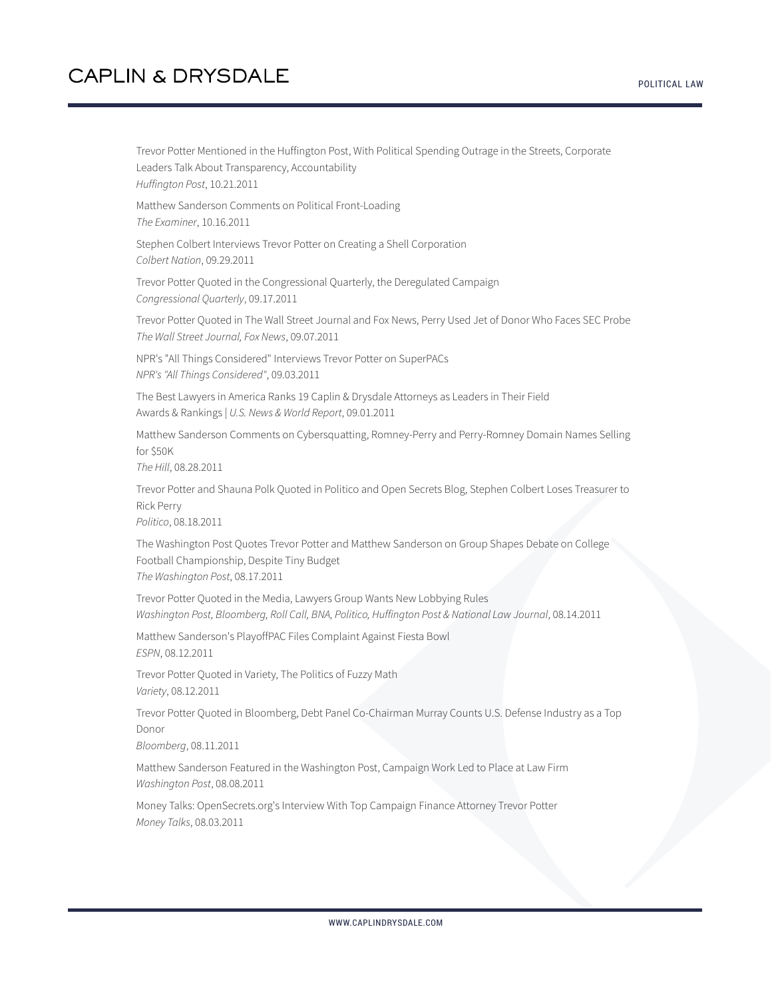Trevor Potter Mentioned in the Huffington Post, With Political Spending Outrage in the Streets, Corporate Leaders Talk About Transparency, Accountability *Huffington Post*, 10.21.2011

Matthew Sanderson Comments on Political Front-Loading *The Examiner*, 10.16.2011

Stephen Colbert Interviews Trevor Potter on Creating a Shell Corporation *Colbert Nation*, 09.29.2011

Trevor Potter Quoted in the Congressional Quarterly, the Deregulated Campaign *Congressional Quarterly*, 09.17.2011

Trevor Potter Quoted in The Wall Street Journal and Fox News, Perry Used Jet of Donor Who Faces SEC Probe *The Wall Street Journal, Fox News*, 09.07.2011

NPR's "All Things Considered" Interviews Trevor Potter on SuperPACs *NPR's "All Things Considered"*, 09.03.2011

The Best Lawyers in America Ranks 19 Caplin & Drysdale Attorneys as Leaders in Their Field Awards & Rankings | *U.S. News & World Report*, 09.01.2011

Matthew Sanderson Comments on Cybersquatting, Romney-Perry and Perry-Romney Domain Names Selling for \$50K

*The Hill*, 08.28.2011

Trevor Potter and Shauna Polk Quoted in Politico and Open Secrets Blog, Stephen Colbert Loses Treasurer to Rick Perry

*Politico*, 08.18.2011

The Washington Post Quotes Trevor Potter and Matthew Sanderson on Group Shapes Debate on College Football Championship, Despite Tiny Budget

*The Washington Post*, 08.17.2011

Trevor Potter Quoted in the Media, Lawyers Group Wants New Lobbying Rules *Washington Post, Bloomberg, Roll Call, BNA, Politico, Huffington Post & National Law Journal*, 08.14.2011

Matthew Sanderson's PlayoffPAC Files Complaint Against Fiesta Bowl *ESPN*, 08.12.2011

Trevor Potter Quoted in Variety, The Politics of Fuzzy Math *Variety*, 08.12.2011

Trevor Potter Quoted in Bloomberg, Debt Panel Co-Chairman Murray Counts U.S. Defense Industry as a Top Donor

*Bloomberg*, 08.11.2011

Matthew Sanderson Featured in the Washington Post, Campaign Work Led to Place at Law Firm *Washington Post*, 08.08.2011

Money Talks: OpenSecrets.org's Interview With Top Campaign Finance Attorney Trevor Potter *Money Talks*, 08.03.2011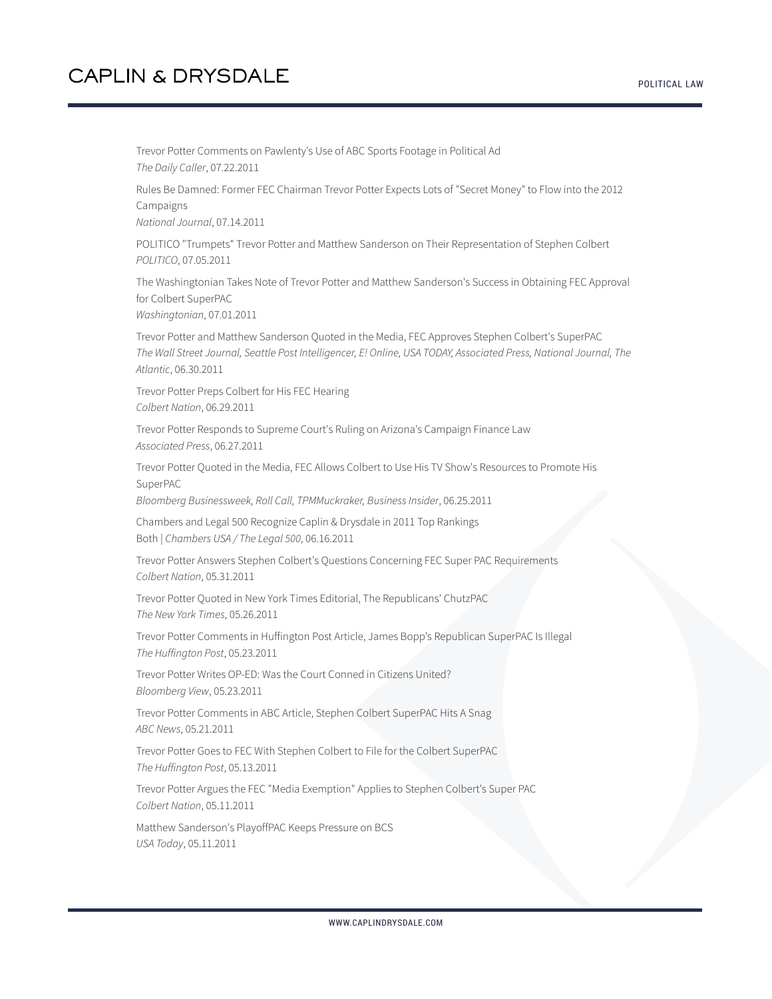Trevor Potter Comments on Pawlenty's Use of ABC Sports Footage in Political Ad *The Daily Caller*, 07.22.2011 Rules Be Damned: Former FEC Chairman Trevor Potter Expects Lots of "Secret Money" to Flow into the 2012 Campaigns *National Journal*, 07.14.2011 POLITICO "Trumpets" Trevor Potter and Matthew Sanderson on Their Representation of Stephen Colbert *POLITICO*, 07.05.2011 The Washingtonian Takes Note of Trevor Potter and Matthew Sanderson's Success in Obtaining FEC Approval for Colbert SuperPAC *Washingtonian*, 07.01.2011 Trevor Potter and Matthew Sanderson Quoted in the Media, FEC Approves Stephen Colbert's SuperPAC *The Wall Street Journal, Seattle Post Intelligencer, E! Online, USA TODAY, Associated Press, National Journal, The Atlantic*, 06.30.2011 Trevor Potter Preps Colbert for His FEC Hearing *Colbert Nation*, 06.29.2011 Trevor Potter Responds to Supreme Court's Ruling on Arizona's Campaign Finance Law *Associated Press*, 06.27.2011 Trevor Potter Quoted in the Media, FEC Allows Colbert to Use His TV Show's Resources to Promote His SuperPAC *Bloomberg Businessweek, Roll Call, TPMMuckraker, Business Insider*, 06.25.2011 Chambers and Legal 500 Recognize Caplin & Drysdale in 2011 Top Rankings Both | *Chambers USA / The Legal 500*, 06.16.2011 Trevor Potter Answers Stephen Colbert's Questions Concerning FEC Super PAC Requirements *Colbert Nation*, 05.31.2011 Trevor Potter Quoted in New York Times Editorial, The Republicans' ChutzPAC *The New York Times*, 05.26.2011 Trevor Potter Comments in Huffington Post Article, James Bopp's Republican SuperPAC Is Illegal *The Huffington Post*, 05.23.2011 Trevor Potter Writes OP-ED: Was the Court Conned in Citizens United? *Bloomberg View*, 05.23.2011 Trevor Potter Comments in ABC Article, Stephen Colbert SuperPAC Hits A Snag *ABC News*, 05.21.2011 Trevor Potter Goes to FEC With Stephen Colbert to File for the Colbert SuperPAC *The Huffington Post*, 05.13.2011 Trevor Potter Argues the FEC "Media Exemption" Applies to Stephen Colbert's Super PAC *Colbert Nation*, 05.11.2011 Matthew Sanderson's PlayoffPAC Keeps Pressure on BCS *USA Today*, 05.11.2011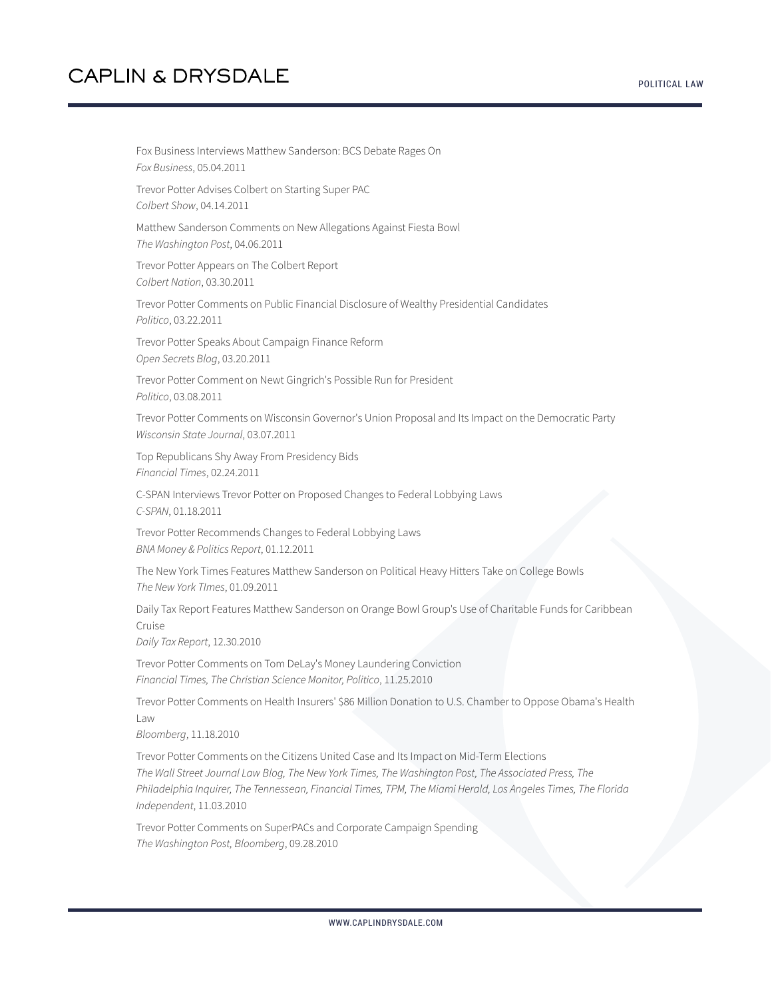Fox Business Interviews Matthew Sanderson: BCS Debate Rages On *Fox Business*, 05.04.2011 Trevor Potter Advises Colbert on Starting Super PAC *Colbert Show*, 04.14.2011 Matthew Sanderson Comments on New Allegations Against Fiesta Bowl *The Washington Post*, 04.06.2011 Trevor Potter Appears on The Colbert Report *Colbert Nation*, 03.30.2011 Trevor Potter Comments on Public Financial Disclosure of Wealthy Presidential Candidates *Politico*, 03.22.2011 Trevor Potter Speaks About Campaign Finance Reform *Open Secrets Blog*, 03.20.2011 Trevor Potter Comment on Newt Gingrich's Possible Run for President *Politico*, 03.08.2011 Trevor Potter Comments on Wisconsin Governor's Union Proposal and Its Impact on the Democratic Party *Wisconsin State Journal*, 03.07.2011 Top Republicans Shy Away From Presidency Bids *Financial Times*, 02.24.2011 C-SPAN Interviews Trevor Potter on Proposed Changes to Federal Lobbying Laws *C-SPAN*, 01.18.2011 Trevor Potter Recommends Changes to Federal Lobbying Laws *BNA Money & Politics Report*, 01.12.2011 The New York Times Features Matthew Sanderson on Political Heavy Hitters Take on College Bowls *The New York TImes*, 01.09.2011 Daily Tax Report Features Matthew Sanderson on Orange Bowl Group's Use of Charitable Funds for Caribbean Cruise *Daily Tax Report*, 12.30.2010 Trevor Potter Comments on Tom DeLay's Money Laundering Conviction *Financial Times, The Christian Science Monitor, Politico*, 11.25.2010 Trevor Potter Comments on Health Insurers' \$86 Million Donation to U.S. Chamber to Oppose Obama's Health Law *Bloomberg*, 11.18.2010 Trevor Potter Comments on the Citizens United Case and Its Impact on Mid-Term Elections *The Wall Street Journal Law Blog, The New York Times, The Washington Post, The Associated Press, The Philadelphia Inquirer, The Tennessean, Financial Times, TPM, The Miami Herald, Los Angeles Times, The Florida Independent*, 11.03.2010 Trevor Potter Comments on SuperPACs and Corporate Campaign Spending

*The Washington Post, Bloomberg*, 09.28.2010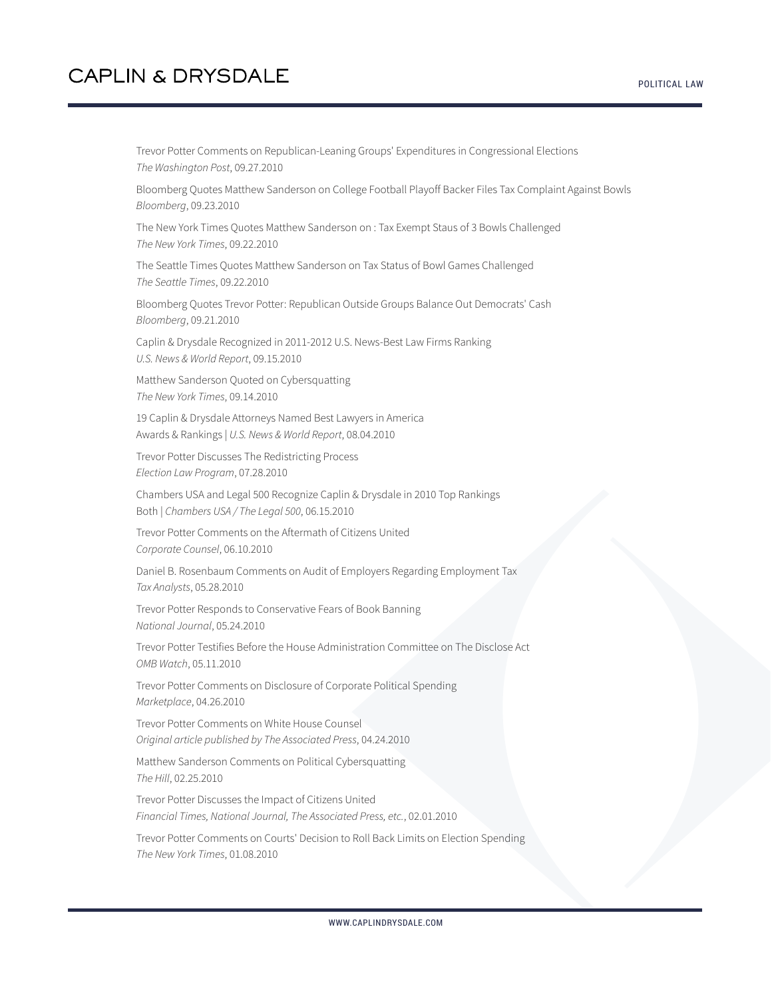Trevor Potter Comments on Republican-Leaning Groups' Expenditures in Congressional Elections *The Washington Post*, 09.27.2010

Bloomberg Quotes Matthew Sanderson on College Football Playoff Backer Files Tax Complaint Against Bowls *Bloomberg*, 09.23.2010

The New York Times Quotes Matthew Sanderson on : Tax Exempt Staus of 3 Bowls Challenged *The New York Times*, 09.22.2010

The Seattle Times Quotes Matthew Sanderson on Tax Status of Bowl Games Challenged *The Seattle Times*, 09.22.2010

Bloomberg Quotes Trevor Potter: Republican Outside Groups Balance Out Democrats' Cash *Bloomberg*, 09.21.2010

Caplin & Drysdale Recognized in 2011-2012 U.S. News-Best Law Firms Ranking *U.S. News & World Report*, 09.15.2010

Matthew Sanderson Quoted on Cybersquatting *The New York Times*, 09.14.2010

19 Caplin & Drysdale Attorneys Named Best Lawyers in America Awards & Rankings | *U.S. News & World Report*, 08.04.2010

Trevor Potter Discusses The Redistricting Process *Election Law Program*, 07.28.2010

Chambers USA and Legal 500 Recognize Caplin & Drysdale in 2010 Top Rankings Both | *Chambers USA / The Legal 500*, 06.15.2010

Trevor Potter Comments on the Aftermath of Citizens United *Corporate Counsel*, 06.10.2010

Daniel B. Rosenbaum Comments on Audit of Employers Regarding Employment Tax *Tax Analysts*, 05.28.2010

Trevor Potter Responds to Conservative Fears of Book Banning *National Journal*, 05.24.2010

Trevor Potter Testifies Before the House Administration Committee on The Disclose Act *OMB Watch*, 05.11.2010

Trevor Potter Comments on Disclosure of Corporate Political Spending *Marketplace*, 04.26.2010

Trevor Potter Comments on White House Counsel *Original article published by The Associated Press*, 04.24.2010

Matthew Sanderson Comments on Political Cybersquatting *The Hill*, 02.25.2010

Trevor Potter Discusses the Impact of Citizens United *Financial Times, National Journal, The Associated Press, etc.*, 02.01.2010

Trevor Potter Comments on Courts' Decision to Roll Back Limits on Election Spending *The New York Times*, 01.08.2010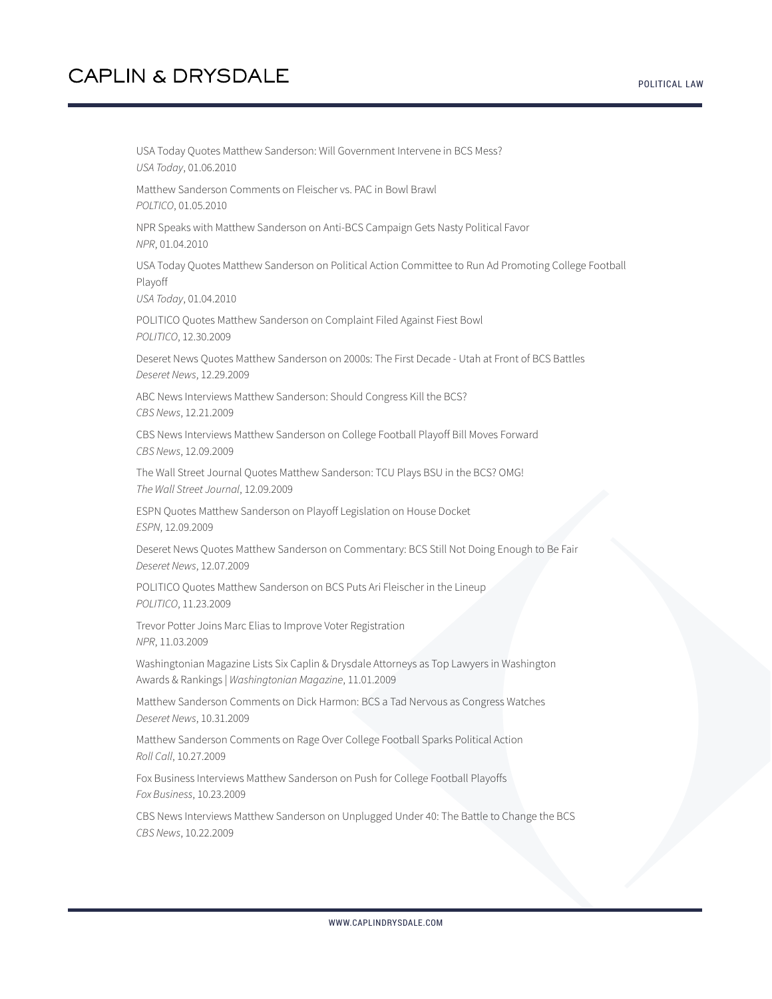USA Today Quotes Matthew Sanderson: Will Government Intervene in BCS Mess? *USA Today*, 01.06.2010 Matthew Sanderson Comments on Fleischer vs. PAC in Bowl Brawl *POLTICO*, 01.05.2010 NPR Speaks with Matthew Sanderson on Anti-BCS Campaign Gets Nasty Political Favor *NPR*, 01.04.2010 USA Today Quotes Matthew Sanderson on Political Action Committee to Run Ad Promoting College Football Playoff *USA Today*, 01.04.2010 POLITICO Quotes Matthew Sanderson on Complaint Filed Against Fiest Bowl *POLITICO*, 12.30.2009 Deseret News Quotes Matthew Sanderson on 2000s: The First Decade - Utah at Front of BCS Battles *Deseret News*, 12.29.2009 ABC News Interviews Matthew Sanderson: Should Congress Kill the BCS? *CBS News*, 12.21.2009 CBS News Interviews Matthew Sanderson on College Football Playoff Bill Moves Forward *CBS News*, 12.09.2009 The Wall Street Journal Quotes Matthew Sanderson: TCU Plays BSU in the BCS? OMG! *The Wall Street Journal*, 12.09.2009 ESPN Quotes Matthew Sanderson on Playoff Legislation on House Docket *ESPN*, 12.09.2009 Deseret News Quotes Matthew Sanderson on Commentary: BCS Still Not Doing Enough to Be Fair *Deseret News*, 12.07.2009 POLITICO Quotes Matthew Sanderson on BCS Puts Ari Fleischer in the Lineup *POLITICO*, 11.23.2009 Trevor Potter Joins Marc Elias to Improve Voter Registration *NPR*, 11.03.2009 Washingtonian Magazine Lists Six Caplin & Drysdale Attorneys as Top Lawyers in Washington Awards & Rankings | *Washingtonian Magazine*, 11.01.2009 Matthew Sanderson Comments on Dick Harmon: BCS a Tad Nervous as Congress Watches *Deseret News*, 10.31.2009 Matthew Sanderson Comments on Rage Over College Football Sparks Political Action *Roll Call*, 10.27.2009 Fox Business Interviews Matthew Sanderson on Push for College Football Playoffs *Fox Business*, 10.23.2009 CBS News Interviews Matthew Sanderson on Unplugged Under 40: The Battle to Change the BCS *CBS News*, 10.22.2009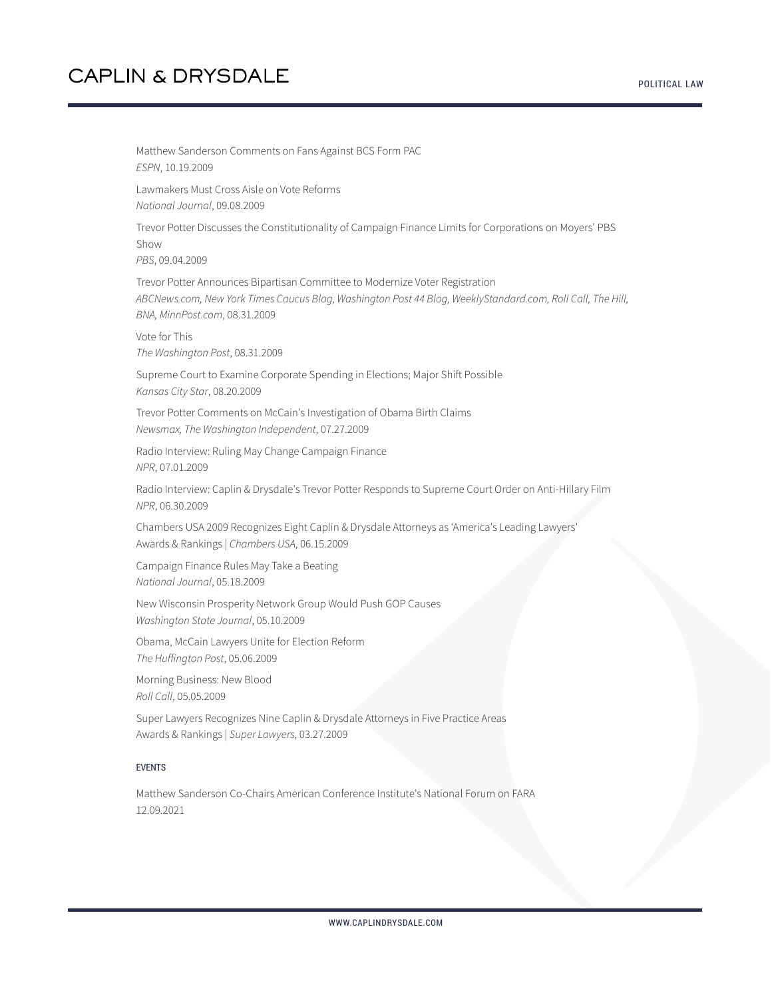Matthew Sanderson Comments on Fans Against BCS Form PAC *ESPN*, 10.19.2009 Lawmakers Must Cross Aisle on Vote Reforms *National Journal*, 09.08.2009 Trevor Potter Discusses the Constitutionality of Campaign Finance Limits for Corporations on Moyers' PBS Show *PBS*, 09.04.2009 Trevor Potter Announces Bipartisan Committee to Modernize Voter Registration *ABCNews.com, New York Times Caucus Blog, Washington Post 44 Blog, WeeklyStandard.com, Roll Call, The Hill, BNA, MinnPost.com*, 08.31.2009 Vote for This *The Washington Post*, 08.31.2009 Supreme Court to Examine Corporate Spending in Elections; Major Shift Possible *Kansas City Star*, 08.20.2009 Trevor Potter Comments on McCain's Investigation of Obama Birth Claims *Newsmax, The Washington Independent*, 07.27.2009 Radio Interview: Ruling May Change Campaign Finance *NPR*, 07.01.2009 Radio Interview: Caplin & Drysdale's Trevor Potter Responds to Supreme Court Order on Anti-Hillary Film *NPR*, 06.30.2009 Chambers USA 2009 Recognizes Eight Caplin & Drysdale Attorneys as 'America's Leading Lawyers' Awards & Rankings | *Chambers USA*, 06.15.2009 Campaign Finance Rules May Take a Beating *National Journal*, 05.18.2009 New Wisconsin Prosperity Network Group Would Push GOP Causes *Washington State Journal*, 05.10.2009 Obama, McCain Lawyers Unite for Election Reform *The Huffington Post*, 05.06.2009 Morning Business: New Blood *Roll Call*, 05.05.2009 Super Lawyers Recognizes Nine Caplin & Drysdale Attorneys in Five Practice Areas Awards & Rankings | *Super Lawyers*, 03.27.2009

#### **FVFNTS**

Matthew Sanderson Co-Chairs American Conference Institute's National Forum on FARA 12.09.2021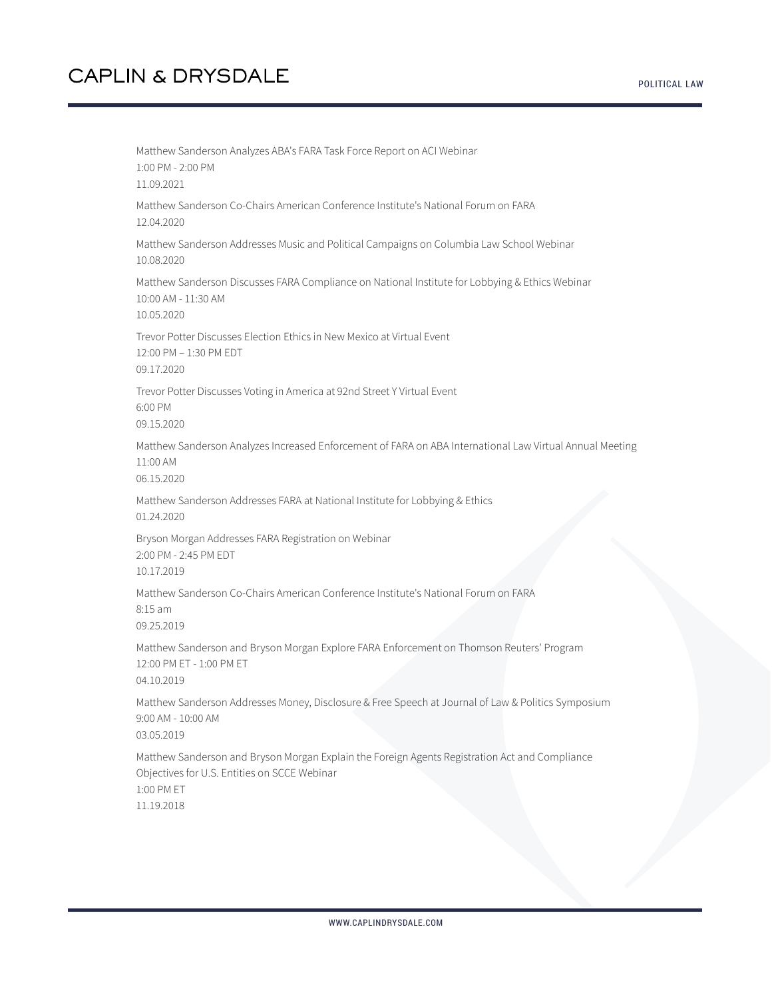Matthew Sanderson Analyzes ABA's FARA Task Force Report on ACI Webinar 1:00 PM - 2:00 PM 11.09.2021 Matthew Sanderson Co-Chairs American Conference Institute's National Forum on FARA 12.04.2020 Matthew Sanderson Addresses Music and Political Campaigns on Columbia Law School Webinar 10.08.2020 Matthew Sanderson Discusses FARA Compliance on National Institute for Lobbying & Ethics Webinar 10:00 AM - 11:30 AM 10.05.2020 Trevor Potter Discusses Election Ethics in New Mexico at Virtual Event 12:00 PM – 1:30 PM EDT 09.17.2020 Trevor Potter Discusses Voting in America at 92nd Street Y Virtual Event 6:00 PM 09.15.2020 Matthew Sanderson Analyzes Increased Enforcement of FARA on ABA International Law Virtual Annual Meeting 11:00 AM 06.15.2020 Matthew Sanderson Addresses FARA at National Institute for Lobbying & Ethics 01.24.2020 Bryson Morgan Addresses FARA Registration on Webinar 2:00 PM - 2:45 PM EDT 10.17.2019 Matthew Sanderson Co-Chairs American Conference Institute's National Forum on FARA 8:15 am 09.25.2019 Matthew Sanderson and Bryson Morgan Explore FARA Enforcement on Thomson Reuters' Program 12:00 PM ET - 1:00 PM ET 04.10.2019 Matthew Sanderson Addresses Money, Disclosure & Free Speech at Journal of Law & Politics Symposium 9:00 AM - 10:00 AM 03.05.2019 Matthew Sanderson and Bryson Morgan Explain the Foreign Agents Registration Act and Compliance Objectives for U.S. Entities on SCCE Webinar 1:00 PM ET 11.19.2018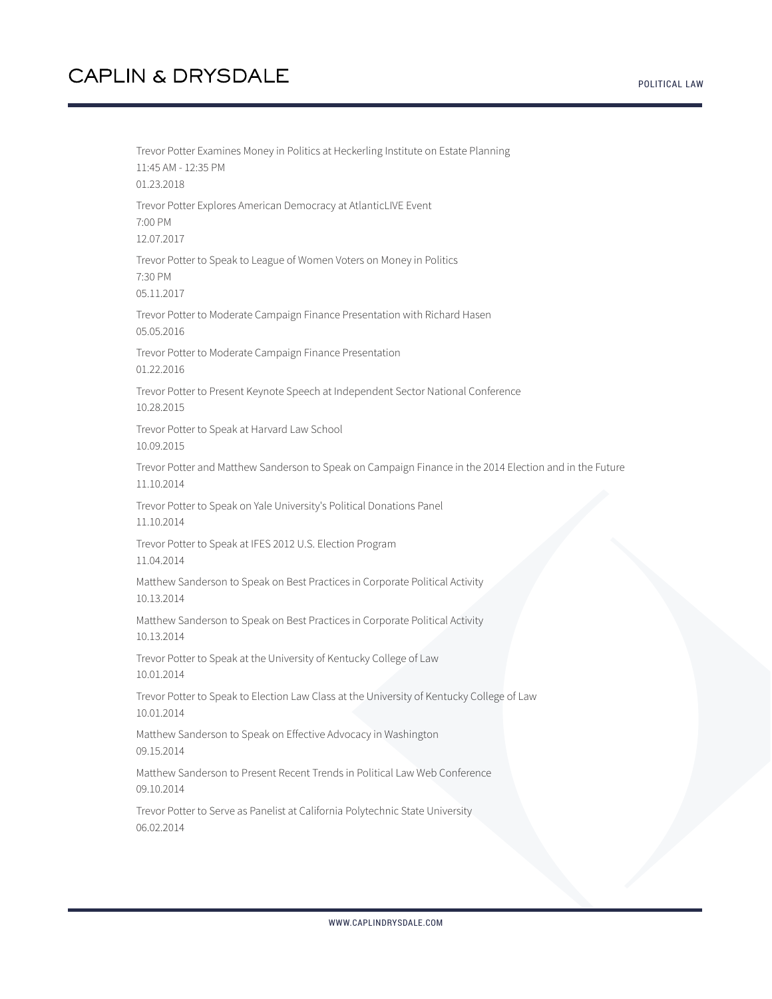Trevor Potter Examines Money in Politics at Heckerling Institute on Estate Planning 11:45 AM - 12:35 PM 01.23.2018 Trevor Potter Explores American Democracy at AtlanticLIVE Event 7:00 PM 12.07.2017 Trevor Potter to Speak to League of Women Voters on Money in Politics 7:30 PM 05.11.2017 Trevor Potter to Moderate Campaign Finance Presentation with Richard Hasen 05.05.2016 Trevor Potter to Moderate Campaign Finance Presentation 01.22.2016 Trevor Potter to Present Keynote Speech at Independent Sector National Conference 10.28.2015 Trevor Potter to Speak at Harvard Law School 10.09.2015 Trevor Potter and Matthew Sanderson to Speak on Campaign Finance in the 2014 Election and in the Future 11.10.2014 Trevor Potter to Speak on Yale University's Political Donations Panel 11.10.2014 Trevor Potter to Speak at IFES 2012 U.S. Election Program 11.04.2014 Matthew Sanderson to Speak on Best Practices in Corporate Political Activity 10.13.2014 Matthew Sanderson to Speak on Best Practices in Corporate Political Activity 10.13.2014 Trevor Potter to Speak at the University of Kentucky College of Law 10.01.2014 Trevor Potter to Speak to Election Law Class at the University of Kentucky College of Law 10.01.2014 Matthew Sanderson to Speak on Effective Advocacy in Washington 09.15.2014 Matthew Sanderson to Present Recent Trends in Political Law Web Conference 09.10.2014 Trevor Potter to Serve as Panelist at California Polytechnic State University 06.02.2014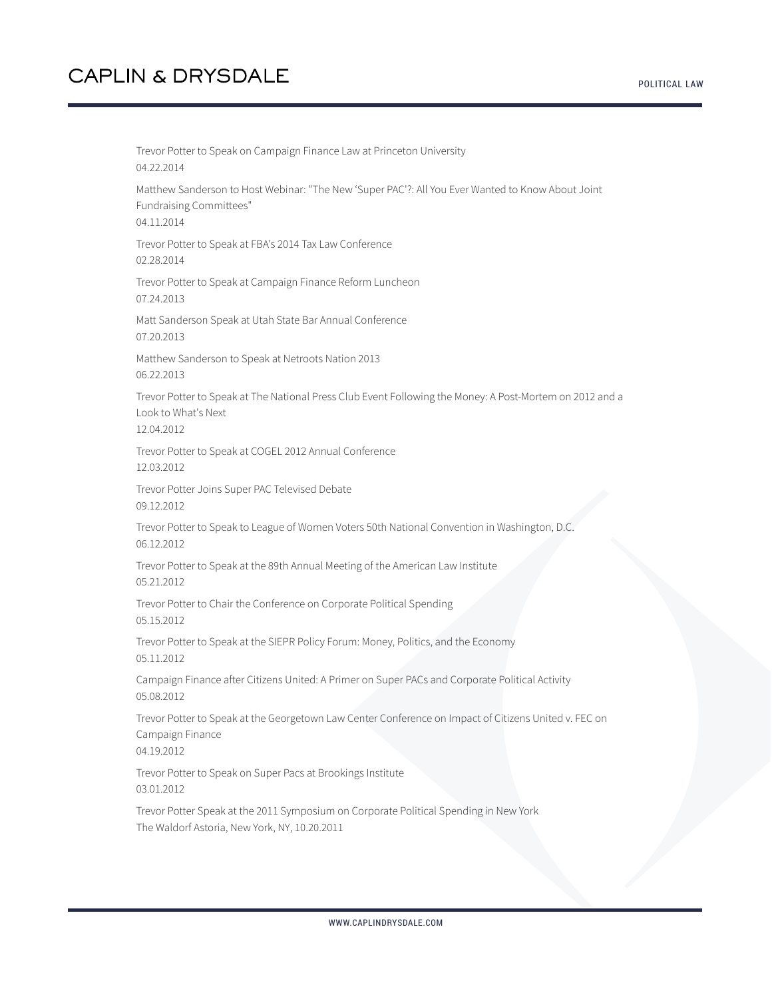Trevor Potter to Speak on Campaign Finance Law at Princeton University 04.22.2014 Matthew Sanderson to Host Webinar: "The New 'Super PAC'?: All You Ever Wanted to Know About Joint Fundraising Committees" 04.11.2014 Trevor Potter to Speak at FBA's 2014 Tax Law Conference 02.28.2014 Trevor Potter to Speak at Campaign Finance Reform Luncheon 07.24.2013 Matt Sanderson Speak at Utah State Bar Annual Conference 07.20.2013 Matthew Sanderson to Speak at Netroots Nation 2013 06.22.2013 Trevor Potter to Speak at The National Press Club Event Following the Money: A Post-Mortem on 2012 and a Look to What's Next 12.04.2012 Trevor Potter to Speak at COGEL 2012 Annual Conference 12.03.2012 Trevor Potter Joins Super PAC Televised Debate 09.12.2012 Trevor Potter to Speak to League of Women Voters 50th National Convention in Washington, D.C. 06.12.2012 Trevor Potter to Speak at the 89th Annual Meeting of the American Law Institute 05.21.2012 Trevor Potter to Chair the Conference on Corporate Political Spending 05.15.2012 Trevor Potter to Speak at the SIEPR Policy Forum: Money, Politics, and the Economy 05.11.2012 Campaign Finance after Citizens United: A Primer on Super PACs and Corporate Political Activity 05.08.2012 Trevor Potter to Speak at the Georgetown Law Center Conference on Impact of Citizens United v. FEC on Campaign Finance 04.19.2012 Trevor Potter to Speak on Super Pacs at Brookings Institute 03.01.2012 Trevor Potter Speak at the 2011 Symposium on Corporate Political Spending in New York The Waldorf Astoria, New York, NY, 10.20.2011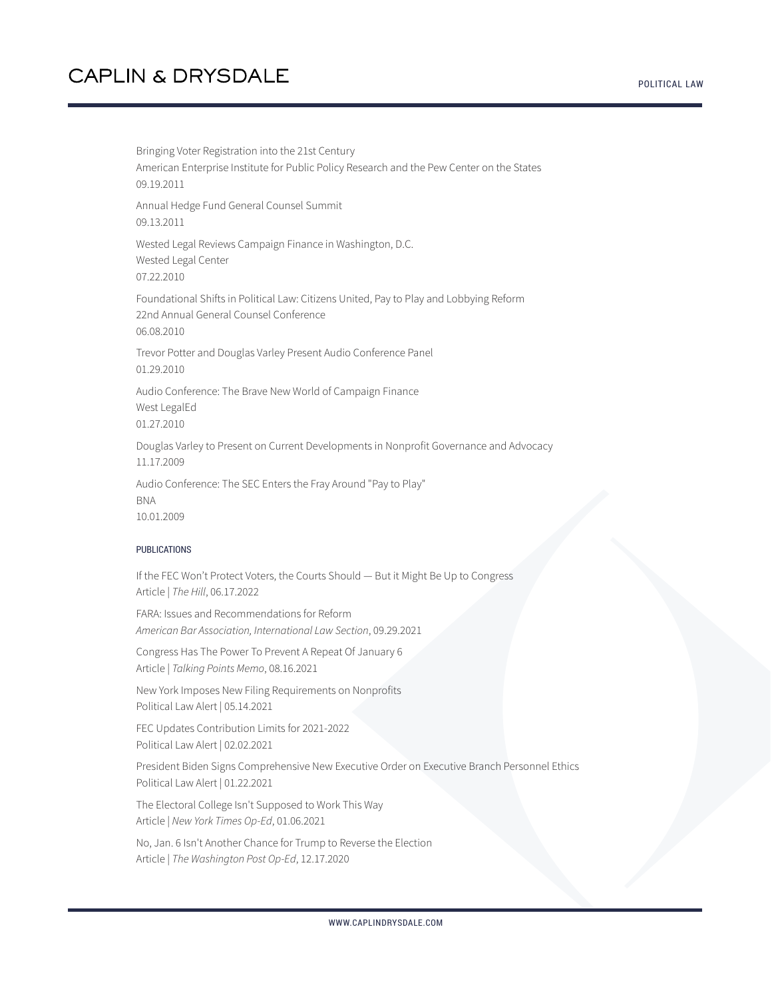Bringing Voter Registration into the 21st Century American Enterprise Institute for Public Policy Research and the Pew Center on the States 09.19.2011 Annual Hedge Fund General Counsel Summit 09.13.2011 Wested Legal Reviews Campaign Finance in Washington, D.C. Wested Legal Center 07.22.2010 Foundational Shifts in Political Law: Citizens United, Pay to Play and Lobbying Reform 22nd Annual General Counsel Conference 06.08.2010 Trevor Potter and Douglas Varley Present Audio Conference Panel 01.29.2010 Audio Conference: The Brave New World of Campaign Finance West LegalEd 01.27.2010 Douglas Varley to Present on Current Developments in Nonprofit Governance and Advocacy 11.17.2009 Audio Conference: The SEC Enters the Fray Around "Pay to Play" BNA 10.01.2009

#### PUBLICATIONS

If the FEC Won't Protect Voters, the Courts Should — But it Might Be Up to Congress Article | *The Hill*, 06.17.2022

FARA: Issues and Recommendations for Reform *American Bar Association, International Law Section*, 09.29.2021

Congress Has The Power To Prevent A Repeat Of January 6 Article | *Talking Points Memo*, 08.16.2021

New York Imposes New Filing Requirements on Nonprofits Political Law Alert | 05.14.2021

FEC Updates Contribution Limits for 2021-2022 Political Law Alert | 02.02.2021

President Biden Signs Comprehensive New Executive Order on Executive Branch Personnel Ethics Political Law Alert | 01.22.2021

The Electoral College Isn't Supposed to Work This Way Article | *New York Times Op-Ed*, 01.06.2021

No, Jan. 6 Isn't Another Chance for Trump to Reverse the Election Article | *The Washington Post Op-Ed*, 12.17.2020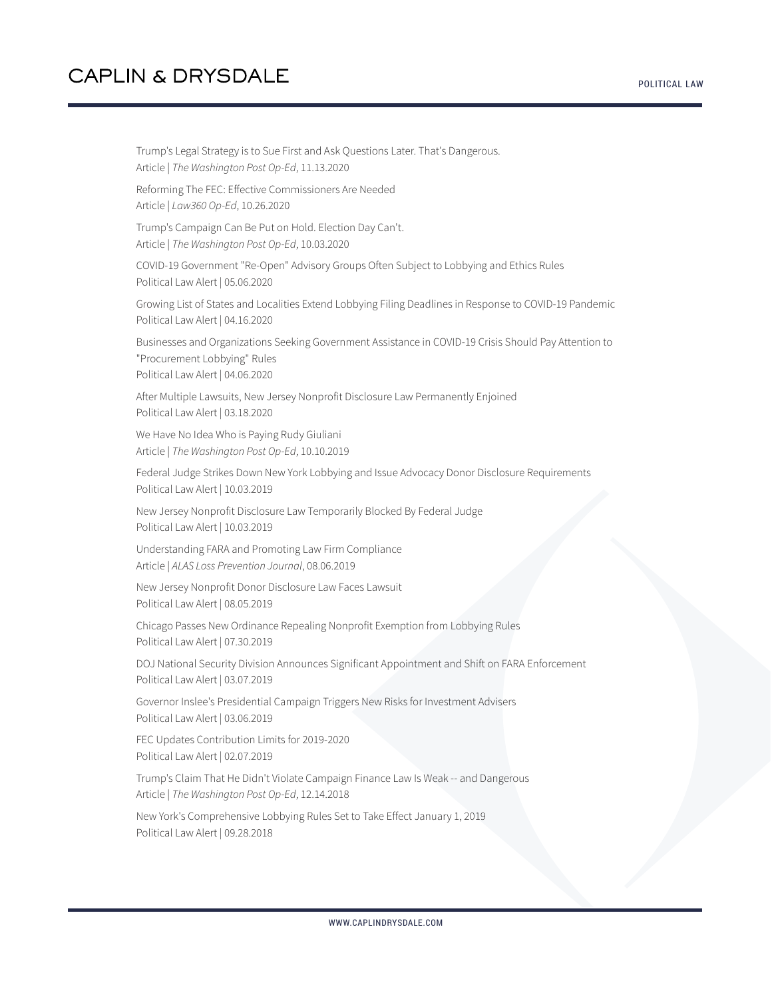Trump's Legal Strategy is to Sue First and Ask Questions Later. That's Dangerous. Article | *The Washington Post Op-Ed*, 11.13.2020 Reforming The FEC: Effective Commissioners Are Needed Article | *Law360 Op-Ed*, 10.26.2020 Trump's Campaign Can Be Put on Hold. Election Day Can't. Article | *The Washington Post Op-Ed*, 10.03.2020 COVID-19 Government "Re-Open" Advisory Groups Often Subject to Lobbying and Ethics Rules Political Law Alert | 05.06.2020 Growing List of States and Localities Extend Lobbying Filing Deadlines in Response to COVID-19 Pandemic Political Law Alert | 04.16.2020 Businesses and Organizations Seeking Government Assistance in COVID-19 Crisis Should Pay Attention to "Procurement Lobbying" Rules Political Law Alert | 04.06.2020 After Multiple Lawsuits, New Jersey Nonprofit Disclosure Law Permanently Enjoined Political Law Alert | 03.18.2020 We Have No Idea Who is Paying Rudy Giuliani Article | *The Washington Post Op-Ed*, 10.10.2019 Federal Judge Strikes Down New York Lobbying and Issue Advocacy Donor Disclosure Requirements Political Law Alert | 10.03.2019 New Jersey Nonprofit Disclosure Law Temporarily Blocked By Federal Judge Political Law Alert | 10.03.2019 Understanding FARA and Promoting Law Firm Compliance Article | *ALAS Loss Prevention Journal*, 08.06.2019 New Jersey Nonprofit Donor Disclosure Law Faces Lawsuit Political Law Alert | 08.05.2019 Chicago Passes New Ordinance Repealing Nonprofit Exemption from Lobbying Rules Political Law Alert | 07.30.2019 DOJ National Security Division Announces Significant Appointment and Shift on FARA Enforcement Political Law Alert | 03.07.2019 Governor Inslee's Presidential Campaign Triggers New Risks for Investment Advisers Political Law Alert | 03.06.2019 FEC Updates Contribution Limits for 2019-2020 Political Law Alert | 02.07.2019 Trump's Claim That He Didn't Violate Campaign Finance Law Is Weak -- and Dangerous Article | *The Washington Post Op-Ed*, 12.14.2018 New York's Comprehensive Lobbying Rules Set to Take Effect January 1, 2019 Political Law Alert | 09.28.2018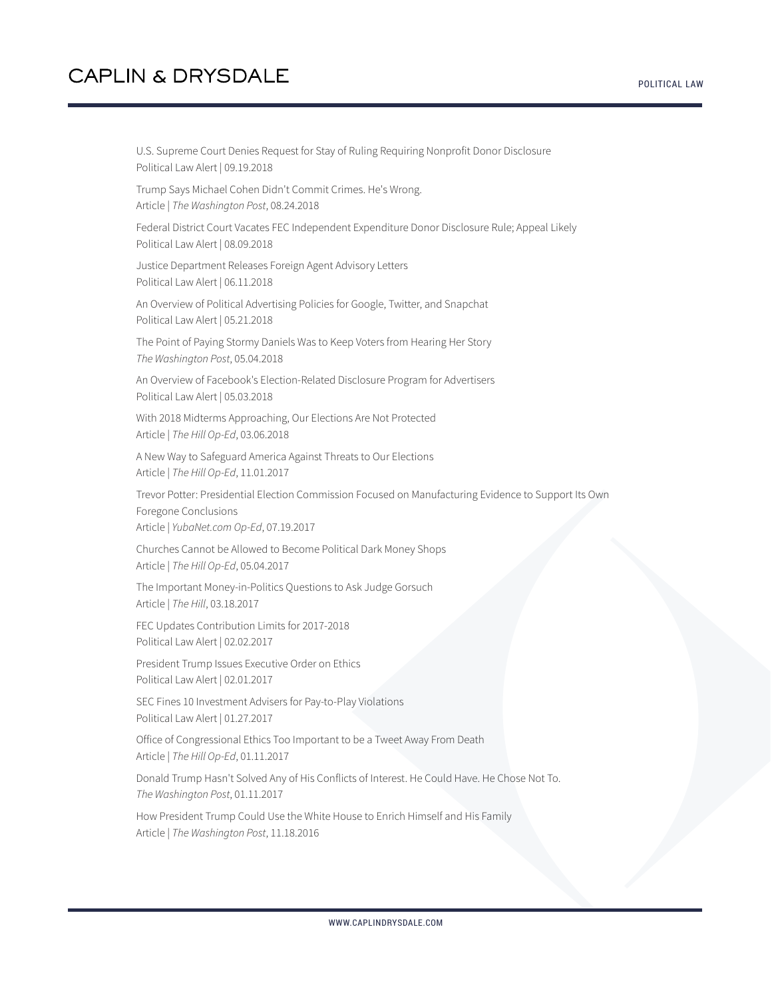U.S. Supreme Court Denies Request for Stay of Ruling Requiring Nonprofit Donor Disclosure Political Law Alert | 09.19.2018

Trump Says Michael Cohen Didn't Commit Crimes. He's Wrong. Article | *The Washington Post*, 08.24.2018

Federal District Court Vacates FEC Independent Expenditure Donor Disclosure Rule; Appeal Likely Political Law Alert | 08.09.2018

Justice Department Releases Foreign Agent Advisory Letters Political Law Alert | 06.11.2018

An Overview of Political Advertising Policies for Google, Twitter, and Snapchat Political Law Alert | 05.21.2018

The Point of Paying Stormy Daniels Was to Keep Voters from Hearing Her Story *The Washington Post*, 05.04.2018

An Overview of Facebook's Election-Related Disclosure Program for Advertisers Political Law Alert | 05.03.2018

With 2018 Midterms Approaching, Our Elections Are Not Protected Article | *The Hill Op-Ed*, 03.06.2018

A New Way to Safeguard America Against Threats to Our Elections Article | *The Hill Op-Ed*, 11.01.2017

Trevor Potter: Presidential Election Commission Focused on Manufacturing Evidence to Support Its Own Foregone Conclusions

Article | *YubaNet.com Op-Ed*, 07.19.2017

Churches Cannot be Allowed to Become Political Dark Money Shops Article | *The Hill Op-Ed*, 05.04.2017

The Important Money-in-Politics Questions to Ask Judge Gorsuch Article | *The Hill*, 03.18.2017

FEC Updates Contribution Limits for 2017-2018 Political Law Alert | 02.02.2017

President Trump Issues Executive Order on Ethics Political Law Alert | 02.01.2017

SEC Fines 10 Investment Advisers for Pay-to-Play Violations Political Law Alert | 01.27.2017

Office of Congressional Ethics Too Important to be a Tweet Away From Death Article | *The Hill Op-Ed*, 01.11.2017

Donald Trump Hasn't Solved Any of His Conflicts of Interest. He Could Have. He Chose Not To. *The Washington Post*, 01.11.2017

How President Trump Could Use the White House to Enrich Himself and His Family Article | *The Washington Post*, 11.18.2016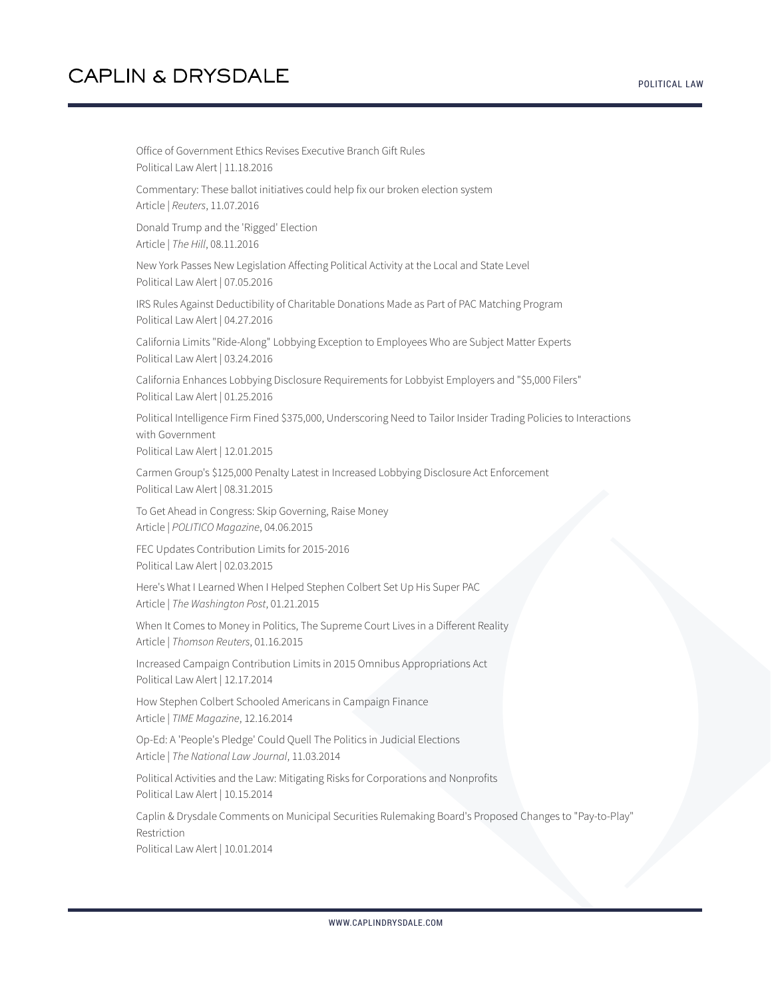Office of Government Ethics Revises Executive Branch Gift Rules Political Law Alert | 11.18.2016 Commentary: These ballot initiatives could help fix our broken election system Article | *Reuters*, 11.07.2016 Donald Trump and the 'Rigged' Election Article | *The Hill*, 08.11.2016 New York Passes New Legislation Affecting Political Activity at the Local and State Level Political Law Alert | 07.05.2016 IRS Rules Against Deductibility of Charitable Donations Made as Part of PAC Matching Program Political Law Alert | 04.27.2016 California Limits "Ride-Along" Lobbying Exception to Employees Who are Subject Matter Experts Political Law Alert | 03.24.2016 California Enhances Lobbying Disclosure Requirements for Lobbyist Employers and "\$5,000 Filers" Political Law Alert | 01.25.2016 Political Intelligence Firm Fined \$375,000, Underscoring Need to Tailor Insider Trading Policies to Interactions with Government Political Law Alert | 12.01.2015 Carmen Group's \$125,000 Penalty Latest in Increased Lobbying Disclosure Act Enforcement Political Law Alert | 08.31.2015 To Get Ahead in Congress: Skip Governing, Raise Money Article | *POLITICO Magazine*, 04.06.2015 FEC Updates Contribution Limits for 2015-2016 Political Law Alert | 02.03.2015 Here's What I Learned When I Helped Stephen Colbert Set Up His Super PAC Article | *The Washington Post*, 01.21.2015 When It Comes to Money in Politics, The Supreme Court Lives in a Different Reality Article | *Thomson Reuters*, 01.16.2015 Increased Campaign Contribution Limits in 2015 Omnibus Appropriations Act Political Law Alert | 12.17.2014 How Stephen Colbert Schooled Americans in Campaign Finance Article | *TIME Magazine*, 12.16.2014 Op-Ed: A 'People's Pledge' Could Quell The Politics in Judicial Elections Article | *The National Law Journal*, 11.03.2014 Political Activities and the Law: Mitigating Risks for Corporations and Nonprofits Political Law Alert | 10.15.2014 Caplin & Drysdale Comments on Municipal Securities Rulemaking Board's Proposed Changes to "Pay-to-Play" Restriction

Political Law Alert | 10.01.2014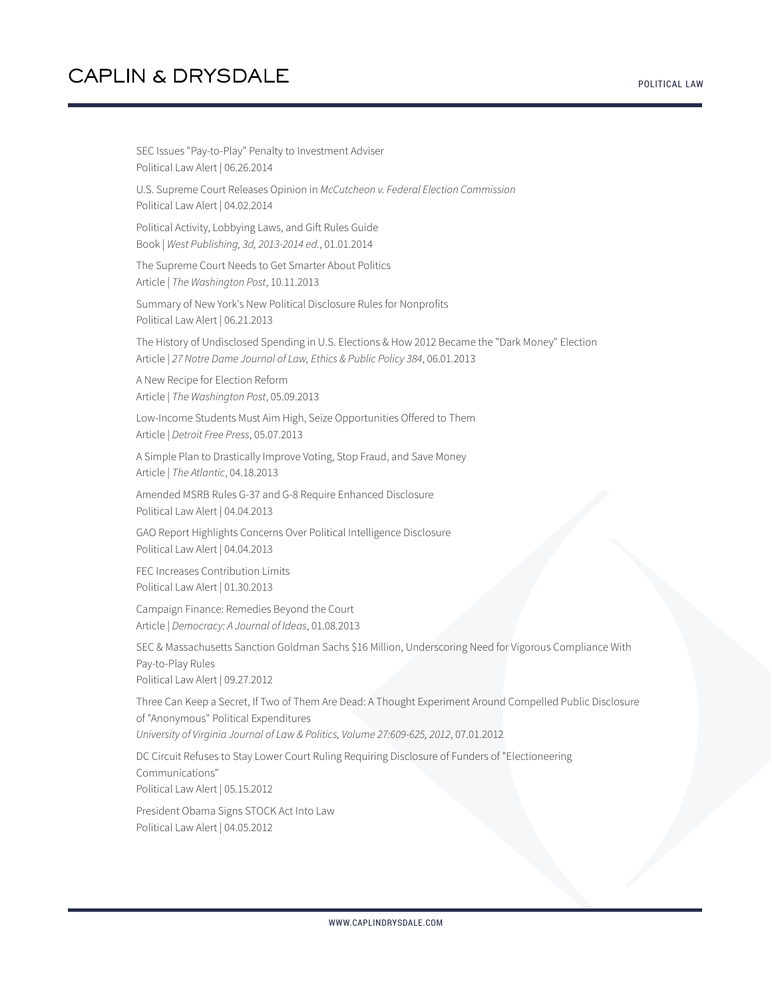SEC Issues "Pay-to-Play" Penalty to Investment Adviser Political Law Alert | 06.26.2014 U.S. Supreme Court Releases Opinion in *McCutcheon v. Federal Election Commission* Political Law Alert | 04.02.2014 Political Activity, Lobbying Laws, and Gift Rules Guide Book | *West Publishing, 3d, 2013-2014 ed.*, 01.01.2014 The Supreme Court Needs to Get Smarter About Politics Article | *The Washington Post*, 10.11.2013 Summary of New York's New Political Disclosure Rules for Nonprofits Political Law Alert | 06.21.2013 The History of Undisclosed Spending in U.S. Elections & How 2012 Became the "Dark Money" Election Article | *27 Notre Dame Journal of Law, Ethics & Public Policy 384*, 06.01.2013 A New Recipe for Election Reform Article | *The Washington Post*, 05.09.2013 Low-Income Students Must Aim High, Seize Opportunities Offered to Them Article | *Detroit Free Press*, 05.07.2013 A Simple Plan to Drastically Improve Voting, Stop Fraud, and Save Money Article | *The Atlantic*, 04.18.2013 Amended MSRB Rules G-37 and G-8 Require Enhanced Disclosure Political Law Alert | 04.04.2013 GAO Report Highlights Concerns Over Political Intelligence Disclosure Political Law Alert | 04.04.2013 FEC Increases Contribution Limits Political Law Alert | 01.30.2013 Campaign Finance: Remedies Beyond the Court Article | *Democracy: A Journal of Ideas*, 01.08.2013 SEC & Massachusetts Sanction Goldman Sachs \$16 Million, Underscoring Need for Vigorous Compliance With Pay-to-Play Rules Political Law Alert | 09.27.2012 Three Can Keep a Secret, If Two of Them Are Dead: A Thought Experiment Around Compelled Public Disclosure of "Anonymous" Political Expenditures *University of Virginia Journal of Law & Politics, Volume 27:609-625, 2012*, 07.01.2012 DC Circuit Refuses to Stay Lower Court Ruling Requiring Disclosure of Funders of "Electioneering Communications"

Political Law Alert | 05.15.2012

President Obama Signs STOCK Act Into Law Political Law Alert | 04.05.2012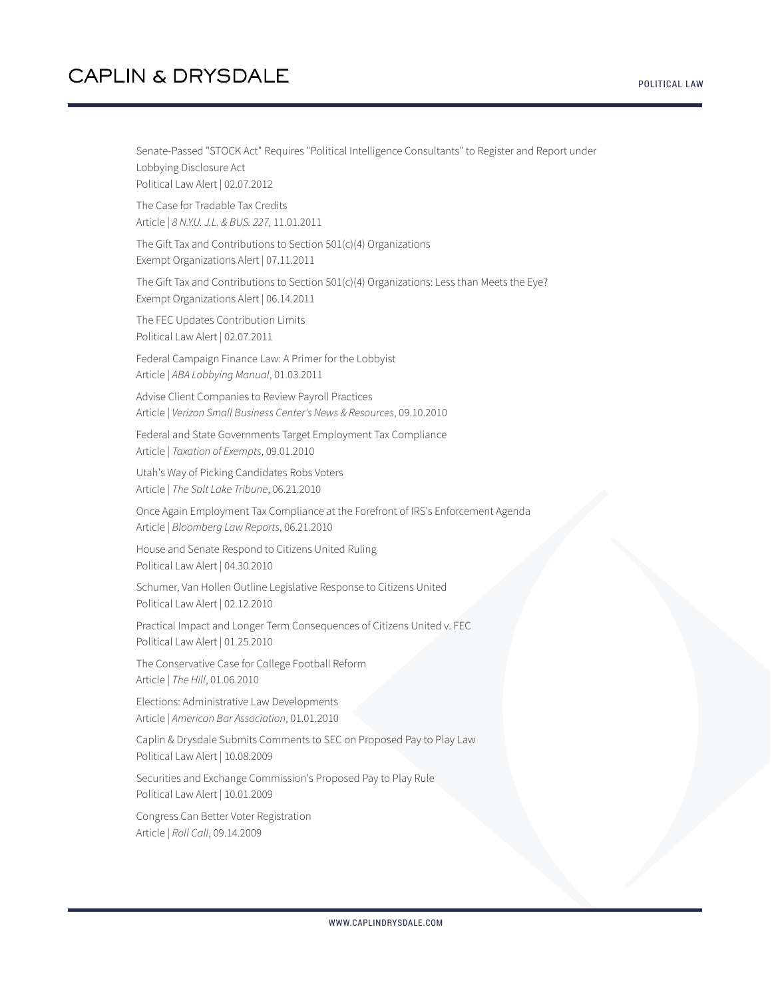Senate-Passed "STOCK Act" Requires "Political Intelligence Consultants" to Register and Report under Lobbying Disclosure Act Political Law Alert | 02.07.2012

The Case for Tradable Tax Credits Article | *8 N.Y.U. J.L. & BUS. 227*, 11.01.2011

The Gift Tax and Contributions to Section 501(c)(4) Organizations Exempt Organizations Alert | 07.11.2011

The Gift Tax and Contributions to Section 501(c)(4) Organizations: Less than Meets the Eye? Exempt Organizations Alert | 06.14.2011

The FEC Updates Contribution Limits Political Law Alert | 02.07.2011

Federal Campaign Finance Law: A Primer for the Lobbyist Article | *ABA Lobbying Manual*, 01.03.2011

Advise Client Companies to Review Payroll Practices Article | *Verizon Small Business Center's News & Resources*, 09.10.2010

Federal and State Governments Target Employment Tax Compliance Article | *Taxation of Exempts*, 09.01.2010

Utah's Way of Picking Candidates Robs Voters Article | *The Salt Lake Tribune*, 06.21.2010

Once Again Employment Tax Compliance at the Forefront of IRS's Enforcement Agenda Article | *Bloomberg Law Reports*, 06.21.2010

House and Senate Respond to Citizens United Ruling Political Law Alert | 04.30.2010

Schumer, Van Hollen Outline Legislative Response to Citizens United Political Law Alert | 02.12.2010

Practical Impact and Longer Term Consequences of Citizens United v. FEC Political Law Alert | 01.25.2010

The Conservative Case for College Football Reform Article | *The Hill*, 01.06.2010

Elections: Administrative Law Developments Article | *American Bar Association*, 01.01.2010

Caplin & Drysdale Submits Comments to SEC on Proposed Pay to Play Law Political Law Alert | 10.08.2009

Securities and Exchange Commission's Proposed Pay to Play Rule Political Law Alert | 10.01.2009

Congress Can Better Voter Registration Article | *Roll Call*, 09.14.2009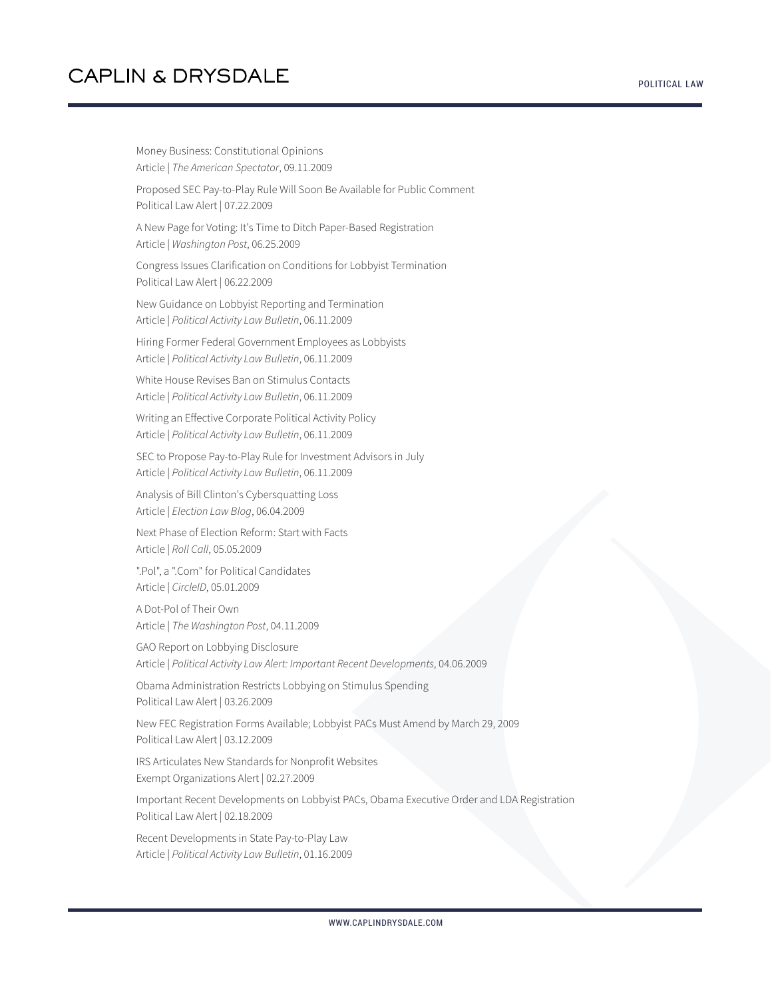Money Business: Constitutional Opinions Article | *The American Spectator*, 09.11.2009 Proposed SEC Pay-to-Play Rule Will Soon Be Available for Public Comment Political Law Alert | 07.22.2009 A New Page for Voting: It's Time to Ditch Paper-Based Registration Article | *Washington Post*, 06.25.2009 Congress Issues Clarification on Conditions for Lobbyist Termination Political Law Alert | 06.22.2009 New Guidance on Lobbyist Reporting and Termination Article | *Political Activity Law Bulletin*, 06.11.2009 Hiring Former Federal Government Employees as Lobbyists Article | *Political Activity Law Bulletin*, 06.11.2009 White House Revises Ban on Stimulus Contacts Article | *Political Activity Law Bulletin*, 06.11.2009 Writing an Effective Corporate Political Activity Policy Article | *Political Activity Law Bulletin*, 06.11.2009 SEC to Propose Pay-to-Play Rule for Investment Advisors in July Article | *Political Activity Law Bulletin*, 06.11.2009 Analysis of Bill Clinton's Cybersquatting Loss Article | *Election Law Blog*, 06.04.2009 Next Phase of Election Reform: Start with Facts Article | *Roll Call*, 05.05.2009 ".Pol", a ".Com" for Political Candidates Article | *CircleID*, 05.01.2009 A Dot-Pol of Their Own Article | *The Washington Post*, 04.11.2009 GAO Report on Lobbying Disclosure Article | *Political Activity Law Alert: Important Recent Developments*, 04.06.2009 Obama Administration Restricts Lobbying on Stimulus Spending Political Law Alert | 03.26.2009 New FEC Registration Forms Available; Lobbyist PACs Must Amend by March 29, 2009 Political Law Alert | 03.12.2009 IRS Articulates New Standards for Nonprofit Websites Exempt Organizations Alert | 02.27.2009 Important Recent Developments on Lobbyist PACs, Obama Executive Order and LDA Registration Political Law Alert | 02.18.2009 Recent Developments in State Pay-to-Play Law Article | *Political Activity Law Bulletin*, 01.16.2009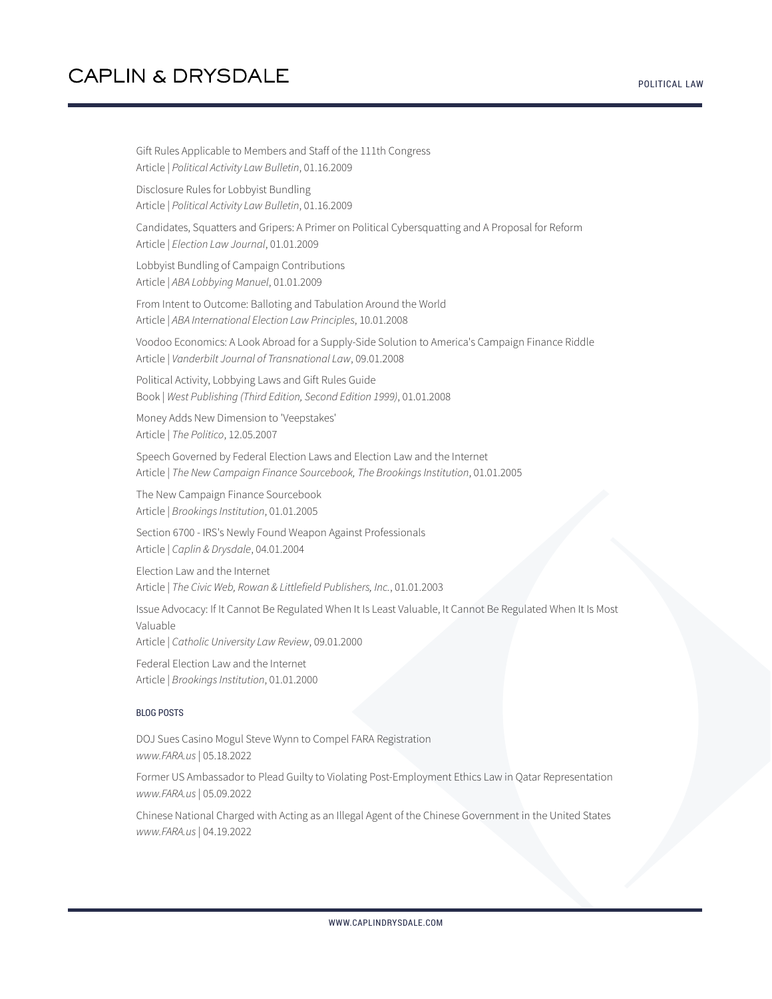Gift Rules Applicable to Members and Staff of the 111th Congress Article | *Political Activity Law Bulletin*, 01.16.2009 Disclosure Rules for Lobbyist Bundling Article | *Political Activity Law Bulletin*, 01.16.2009 Candidates, Squatters and Gripers: A Primer on Political Cybersquatting and A Proposal for Reform Article | *Election Law Journal*, 01.01.2009 Lobbyist Bundling of Campaign Contributions Article | *ABA Lobbying Manuel*, 01.01.2009 From Intent to Outcome: Balloting and Tabulation Around the World Article | *ABA International Election Law Principles*, 10.01.2008 Voodoo Economics: A Look Abroad for a Supply-Side Solution to America's Campaign Finance Riddle Article | *Vanderbilt Journal of Transnational Law*, 09.01.2008 Political Activity, Lobbying Laws and Gift Rules Guide Book | *West Publishing (Third Edition, Second Edition 1999)*, 01.01.2008

Money Adds New Dimension to 'Veepstakes' Article | *The Politico*, 12.05.2007

Speech Governed by Federal Election Laws and Election Law and the Internet Article | *The New Campaign Finance Sourcebook, The Brookings Institution*, 01.01.2005

The New Campaign Finance Sourcebook Article | *Brookings Institution*, 01.01.2005

Section 6700 - IRS's Newly Found Weapon Against Professionals Article | *Caplin & Drysdale*, 04.01.2004

Election Law and the Internet Article | *The Civic Web, Rowan & Littlefield Publishers, Inc.*, 01.01.2003

Issue Advocacy: If It Cannot Be Regulated When It Is Least Valuable, It Cannot Be Regulated When It Is Most Valuable

Article | *Catholic University Law Review*, 09.01.2000

Federal Election Law and the Internet Article | *Brookings Institution*, 01.01.2000

#### BLOG POSTS

DOJ Sues Casino Mogul Steve Wynn to Compel FARA Registration *www.FARA.us* | 05.18.2022

Former US Ambassador to Plead Guilty to Violating Post-Employment Ethics Law in Qatar Representation *www.FARA.us* | 05.09.2022

Chinese National Charged with Acting as an Illegal Agent of the Chinese Government in the United States *www.FARA.us* | 04.19.2022